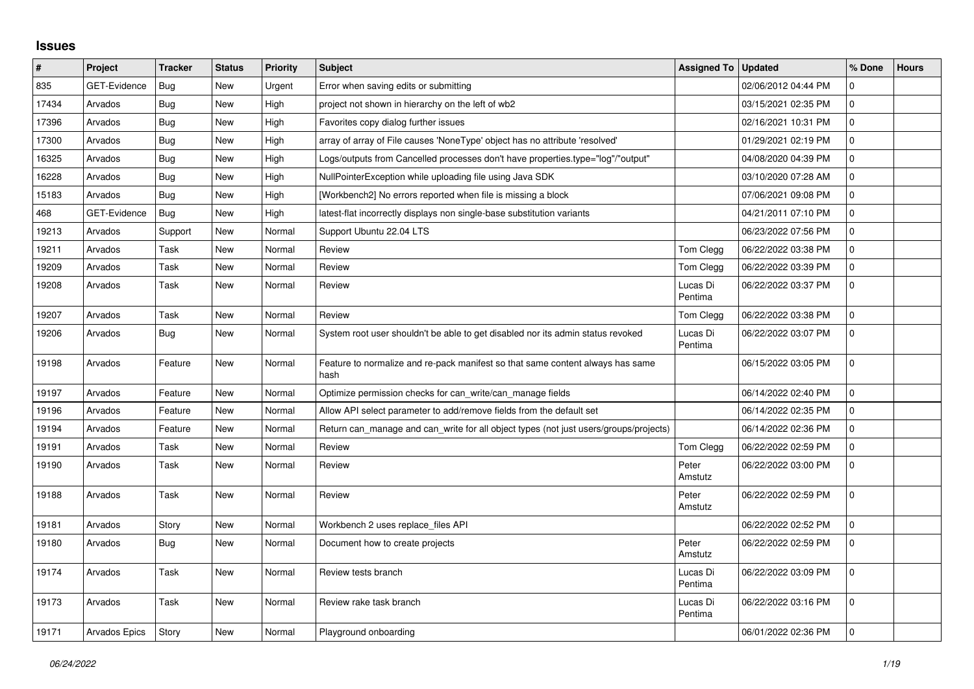## **Issues**

| $\vert$ # | Project              | <b>Tracker</b> | <b>Status</b> | <b>Priority</b> | <b>Subject</b>                                                                         | <b>Assigned To</b>  | <b>Updated</b>      | % Done       | <b>Hours</b> |
|-----------|----------------------|----------------|---------------|-----------------|----------------------------------------------------------------------------------------|---------------------|---------------------|--------------|--------------|
| 835       | GET-Evidence         | Bug            | <b>New</b>    | Urgent          | Error when saving edits or submitting                                                  |                     | 02/06/2012 04:44 PM | $\mathbf 0$  |              |
| 17434     | Arvados              | Bug            | <b>New</b>    | High            | project not shown in hierarchy on the left of wb2                                      |                     | 03/15/2021 02:35 PM | $\mathbf{0}$ |              |
| 17396     | Arvados              | Bug            | <b>New</b>    | High            | Favorites copy dialog further issues                                                   |                     | 02/16/2021 10:31 PM | $\mathbf 0$  |              |
| 17300     | Arvados              | Bug            | <b>New</b>    | High            | array of array of File causes 'NoneType' object has no attribute 'resolved'            |                     | 01/29/2021 02:19 PM | $\mathsf 0$  |              |
| 16325     | Arvados              | Bug            | <b>New</b>    | High            | Logs/outputs from Cancelled processes don't have properties.type="log"/"output"        |                     | 04/08/2020 04:39 PM | $\mathbf{0}$ |              |
| 16228     | Arvados              | <b>Bug</b>     | <b>New</b>    | High            | NullPointerException while uploading file using Java SDK                               |                     | 03/10/2020 07:28 AM | $\mathbf 0$  |              |
| 15183     | Arvados              | Bug            | <b>New</b>    | High            | [Workbench2] No errors reported when file is missing a block                           |                     | 07/06/2021 09:08 PM | $\mathbf 0$  |              |
| 468       | <b>GET-Evidence</b>  | Bug            | <b>New</b>    | High            | latest-flat incorrectly displays non single-base substitution variants                 |                     | 04/21/2011 07:10 PM | $\mathbf{0}$ |              |
| 19213     | Arvados              | Support        | <b>New</b>    | Normal          | Support Ubuntu 22.04 LTS                                                               |                     | 06/23/2022 07:56 PM | $\mathbf 0$  |              |
| 19211     | Arvados              | Task           | New           | Normal          | Review                                                                                 | Tom Clegg           | 06/22/2022 03:38 PM | $\mathsf 0$  |              |
| 19209     | Arvados              | Task           | <b>New</b>    | Normal          | Review                                                                                 | Tom Clegg           | 06/22/2022 03:39 PM | $\mathbf{0}$ |              |
| 19208     | Arvados              | Task           | <b>New</b>    | Normal          | Review                                                                                 | Lucas Di<br>Pentima | 06/22/2022 03:37 PM | $\mathbf 0$  |              |
| 19207     | Arvados              | Task           | New           | Normal          | Review                                                                                 | Tom Clegg           | 06/22/2022 03:38 PM | 0            |              |
| 19206     | Arvados              | <b>Bug</b>     | <b>New</b>    | Normal          | System root user shouldn't be able to get disabled nor its admin status revoked        | Lucas Di<br>Pentima | 06/22/2022 03:07 PM | $\mathbf 0$  |              |
| 19198     | Arvados              | Feature        | New           | Normal          | Feature to normalize and re-pack manifest so that same content always has same<br>hash |                     | 06/15/2022 03:05 PM | $\Omega$     |              |
| 19197     | Arvados              | Feature        | New           | Normal          | Optimize permission checks for can write/can manage fields                             |                     | 06/14/2022 02:40 PM | $\mathbf 0$  |              |
| 19196     | Arvados              | Feature        | <b>New</b>    | Normal          | Allow API select parameter to add/remove fields from the default set                   |                     | 06/14/2022 02:35 PM | $\mathbf 0$  |              |
| 19194     | Arvados              | Feature        | <b>New</b>    | Normal          | Return can_manage and can_write for all object types (not just users/groups/projects)  |                     | 06/14/2022 02:36 PM | $\mathbf 0$  |              |
| 19191     | Arvados              | Task           | New           | Normal          | Review                                                                                 | Tom Clegg           | 06/22/2022 02:59 PM | 0            |              |
| 19190     | Arvados              | Task           | <b>New</b>    | Normal          | Review                                                                                 | Peter<br>Amstutz    | 06/22/2022 03:00 PM | $\mathbf 0$  |              |
| 19188     | Arvados              | Task           | <b>New</b>    | Normal          | Review                                                                                 | Peter<br>Amstutz    | 06/22/2022 02:59 PM | $\Omega$     |              |
| 19181     | Arvados              | Story          | <b>New</b>    | Normal          | Workbench 2 uses replace files API                                                     |                     | 06/22/2022 02:52 PM | 0            |              |
| 19180     | Arvados              | Bug            | <b>New</b>    | Normal          | Document how to create projects                                                        | Peter<br>Amstutz    | 06/22/2022 02:59 PM | $\mathbf 0$  |              |
| 19174     | Arvados              | Task           | <b>New</b>    | Normal          | Review tests branch                                                                    | Lucas Di<br>Pentima | 06/22/2022 03:09 PM | $\mathbf{0}$ |              |
| 19173     | Arvados              | Task           | New           | Normal          | Review rake task branch                                                                | Lucas Di<br>Pentima | 06/22/2022 03:16 PM | $\Omega$     |              |
| 19171     | <b>Arvados Epics</b> | Story          | New           | Normal          | Playground onboarding                                                                  |                     | 06/01/2022 02:36 PM | $\mathbf 0$  |              |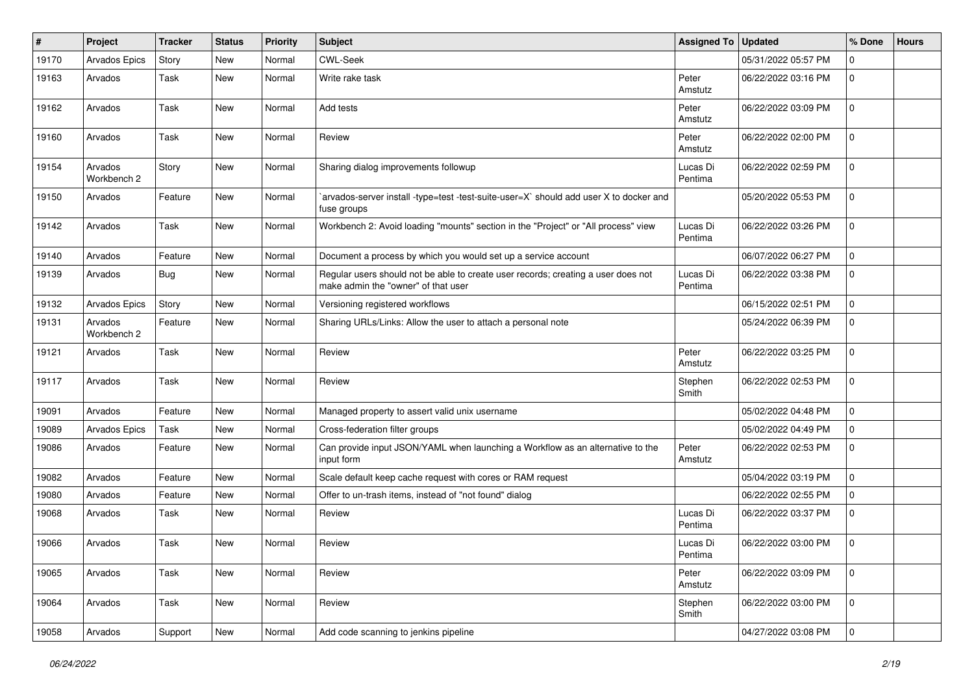| #     | Project                | <b>Tracker</b> | <b>Status</b> | <b>Priority</b> | <b>Subject</b>                                                                                                           | <b>Assigned To</b>  | <b>Updated</b>      | % Done         | <b>Hours</b> |
|-------|------------------------|----------------|---------------|-----------------|--------------------------------------------------------------------------------------------------------------------------|---------------------|---------------------|----------------|--------------|
| 19170 | Arvados Epics          | Story          | <b>New</b>    | Normal          | <b>CWL-Seek</b>                                                                                                          |                     | 05/31/2022 05:57 PM | $\mathbf 0$    |              |
| 19163 | Arvados                | Task           | New           | Normal          | Write rake task                                                                                                          | Peter<br>Amstutz    | 06/22/2022 03:16 PM | $\overline{0}$ |              |
| 19162 | Arvados                | <b>Task</b>    | <b>New</b>    | Normal          | Add tests                                                                                                                | Peter<br>Amstutz    | 06/22/2022 03:09 PM | $\overline{0}$ |              |
| 19160 | Arvados                | Task           | New           | Normal          | Review                                                                                                                   | Peter<br>Amstutz    | 06/22/2022 02:00 PM | $\mathbf 0$    |              |
| 19154 | Arvados<br>Workbench 2 | Story          | New           | Normal          | Sharing dialog improvements followup                                                                                     | Lucas Di<br>Pentima | 06/22/2022 02:59 PM | $\mathbf 0$    |              |
| 19150 | Arvados                | Feature        | <b>New</b>    | Normal          | `arvados-server install -type=test -test-suite-user=X` should add user X to docker and<br>fuse groups                    |                     | 05/20/2022 05:53 PM | $\overline{0}$ |              |
| 19142 | Arvados                | Task           | New           | Normal          | Workbench 2: Avoid loading "mounts" section in the "Project" or "All process" view                                       | Lucas Di<br>Pentima | 06/22/2022 03:26 PM | $\mathbf 0$    |              |
| 19140 | Arvados                | Feature        | New           | Normal          | Document a process by which you would set up a service account                                                           |                     | 06/07/2022 06:27 PM | $\mathbf 0$    |              |
| 19139 | Arvados                | Bug            | New           | Normal          | Regular users should not be able to create user records; creating a user does not<br>make admin the "owner" of that user | Lucas Di<br>Pentima | 06/22/2022 03:38 PM | $\mathbf 0$    |              |
| 19132 | Arvados Epics          | Story          | New           | Normal          | Versioning registered workflows                                                                                          |                     | 06/15/2022 02:51 PM | $\mathbf 0$    |              |
| 19131 | Arvados<br>Workbench 2 | Feature        | New           | Normal          | Sharing URLs/Links: Allow the user to attach a personal note                                                             |                     | 05/24/2022 06:39 PM | $\overline{0}$ |              |
| 19121 | Arvados                | Task           | New           | Normal          | Review                                                                                                                   | Peter<br>Amstutz    | 06/22/2022 03:25 PM | $\mathbf 0$    |              |
| 19117 | Arvados                | Task           | New           | Normal          | Review                                                                                                                   | Stephen<br>Smith    | 06/22/2022 02:53 PM | $\overline{0}$ |              |
| 19091 | Arvados                | Feature        | New           | Normal          | Managed property to assert valid unix username                                                                           |                     | 05/02/2022 04:48 PM | $\overline{0}$ |              |
| 19089 | <b>Arvados Epics</b>   | Task           | <b>New</b>    | Normal          | Cross-federation filter groups                                                                                           |                     | 05/02/2022 04:49 PM | $\mathbf 0$    |              |
| 19086 | Arvados                | Feature        | New           | Normal          | Can provide input JSON/YAML when launching a Workflow as an alternative to the<br>input form                             | Peter<br>Amstutz    | 06/22/2022 02:53 PM | $\overline{0}$ |              |
| 19082 | Arvados                | Feature        | New           | Normal          | Scale default keep cache request with cores or RAM request                                                               |                     | 05/04/2022 03:19 PM | $\mathbf 0$    |              |
| 19080 | Arvados                | Feature        | <b>New</b>    | Normal          | Offer to un-trash items, instead of "not found" dialog                                                                   |                     | 06/22/2022 02:55 PM | $\mathbf 0$    |              |
| 19068 | Arvados                | Task           | New           | Normal          | Review                                                                                                                   | Lucas Di<br>Pentima | 06/22/2022 03:37 PM | $\mathbf 0$    |              |
| 19066 | Arvados                | Task           | New           | Normal          | Review                                                                                                                   | Lucas Di<br>Pentima | 06/22/2022 03:00 PM | $\overline{0}$ |              |
| 19065 | Arvados                | <b>Task</b>    | New           | Normal          | Review                                                                                                                   | Peter<br>Amstutz    | 06/22/2022 03:09 PM | $\mathbf 0$    |              |
| 19064 | Arvados                | Task           | New           | Normal          | Review                                                                                                                   | Stephen<br>Smith    | 06/22/2022 03:00 PM | $\mathbf 0$    |              |
| 19058 | Arvados                | Support        | New           | Normal          | Add code scanning to jenkins pipeline                                                                                    |                     | 04/27/2022 03:08 PM | $\overline{0}$ |              |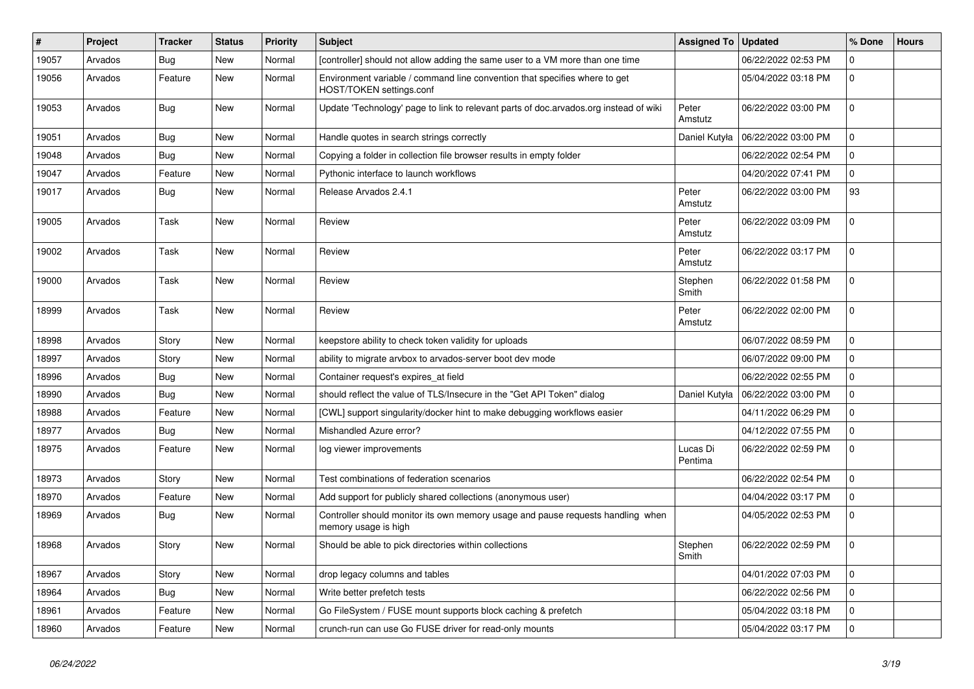| $\vert$ # | Project | <b>Tracker</b> | <b>Status</b> | Priority | Subject                                                                                                 | <b>Assigned To</b>  | <b>Updated</b>      | % Done      | <b>Hours</b> |
|-----------|---------|----------------|---------------|----------|---------------------------------------------------------------------------------------------------------|---------------------|---------------------|-------------|--------------|
| 19057     | Arvados | <b>Bug</b>     | <b>New</b>    | Normal   | [controller] should not allow adding the same user to a VM more than one time                           |                     | 06/22/2022 02:53 PM | 0           |              |
| 19056     | Arvados | Feature        | New           | Normal   | Environment variable / command line convention that specifies where to get<br>HOST/TOKEN settings.conf  |                     | 05/04/2022 03:18 PM | $\mathbf 0$ |              |
| 19053     | Arvados | Bug            | <b>New</b>    | Normal   | Update 'Technology' page to link to relevant parts of doc.arvados.org instead of wiki                   | Peter<br>Amstutz    | 06/22/2022 03:00 PM | $\mathbf 0$ |              |
| 19051     | Arvados | Bug            | <b>New</b>    | Normal   | Handle quotes in search strings correctly                                                               | Daniel Kutyła       | 06/22/2022 03:00 PM | 0           |              |
| 19048     | Arvados | Bug            | <b>New</b>    | Normal   | Copying a folder in collection file browser results in empty folder                                     |                     | 06/22/2022 02:54 PM | $\Omega$    |              |
| 19047     | Arvados | Feature        | <b>New</b>    | Normal   | Pythonic interface to launch workflows                                                                  |                     | 04/20/2022 07:41 PM | $\mathbf 0$ |              |
| 19017     | Arvados | Bug            | <b>New</b>    | Normal   | Release Arvados 2.4.1                                                                                   | Peter<br>Amstutz    | 06/22/2022 03:00 PM | 93          |              |
| 19005     | Arvados | Task           | <b>New</b>    | Normal   | Review                                                                                                  | Peter<br>Amstutz    | 06/22/2022 03:09 PM | $\mathbf 0$ |              |
| 19002     | Arvados | Task           | New           | Normal   | Review                                                                                                  | Peter<br>Amstutz    | 06/22/2022 03:17 PM | $\mathbf 0$ |              |
| 19000     | Arvados | Task           | New           | Normal   | Review                                                                                                  | Stephen<br>Smith    | 06/22/2022 01:58 PM | $\mathbf 0$ |              |
| 18999     | Arvados | Task           | New           | Normal   | Review                                                                                                  | Peter<br>Amstutz    | 06/22/2022 02:00 PM | 0           |              |
| 18998     | Arvados | Story          | New           | Normal   | keepstore ability to check token validity for uploads                                                   |                     | 06/07/2022 08:59 PM | $\mathbf 0$ |              |
| 18997     | Arvados | Story          | <b>New</b>    | Normal   | ability to migrate arvbox to arvados-server boot dev mode                                               |                     | 06/07/2022 09:00 PM | 0           |              |
| 18996     | Arvados | Bug            | <b>New</b>    | Normal   | Container request's expires at field                                                                    |                     | 06/22/2022 02:55 PM | $\mathbf 0$ |              |
| 18990     | Arvados | Bug            | <b>New</b>    | Normal   | should reflect the value of TLS/Insecure in the "Get API Token" dialog                                  | Daniel Kutyła       | 06/22/2022 03:00 PM | $\Omega$    |              |
| 18988     | Arvados | Feature        | <b>New</b>    | Normal   | [CWL] support singularity/docker hint to make debugging workflows easier                                |                     | 04/11/2022 06:29 PM | $\mathbf 0$ |              |
| 18977     | Arvados | <b>Bug</b>     | New           | Normal   | Mishandled Azure error?                                                                                 |                     | 04/12/2022 07:55 PM | $\mathbf 0$ |              |
| 18975     | Arvados | Feature        | <b>New</b>    | Normal   | log viewer improvements                                                                                 | Lucas Di<br>Pentima | 06/22/2022 02:59 PM | $\mathbf 0$ |              |
| 18973     | Arvados | Story          | New           | Normal   | Test combinations of federation scenarios                                                               |                     | 06/22/2022 02:54 PM | 0           |              |
| 18970     | Arvados | Feature        | <b>New</b>    | Normal   | Add support for publicly shared collections (anonymous user)                                            |                     | 04/04/2022 03:17 PM | $\mathbf 0$ |              |
| 18969     | Arvados | Bug            | New           | Normal   | Controller should monitor its own memory usage and pause requests handling when<br>memory usage is high |                     | 04/05/2022 02:53 PM | 0           |              |
| 18968     | Arvados | Story          | New           | Normal   | Should be able to pick directories within collections                                                   | Stephen<br>Smith    | 06/22/2022 02:59 PM | $\mathbf 0$ |              |
| 18967     | Arvados | Story          | New           | Normal   | drop legacy columns and tables                                                                          |                     | 04/01/2022 07:03 PM | 0           |              |
| 18964     | Arvados | Bug            | New           | Normal   | Write better prefetch tests                                                                             |                     | 06/22/2022 02:56 PM | $\mathbf 0$ |              |
| 18961     | Arvados | Feature        | New           | Normal   | Go FileSystem / FUSE mount supports block caching & prefetch                                            |                     | 05/04/2022 03:18 PM | 0           |              |
| 18960     | Arvados | Feature        | New           | Normal   | crunch-run can use Go FUSE driver for read-only mounts                                                  |                     | 05/04/2022 03:17 PM | $\mathbf 0$ |              |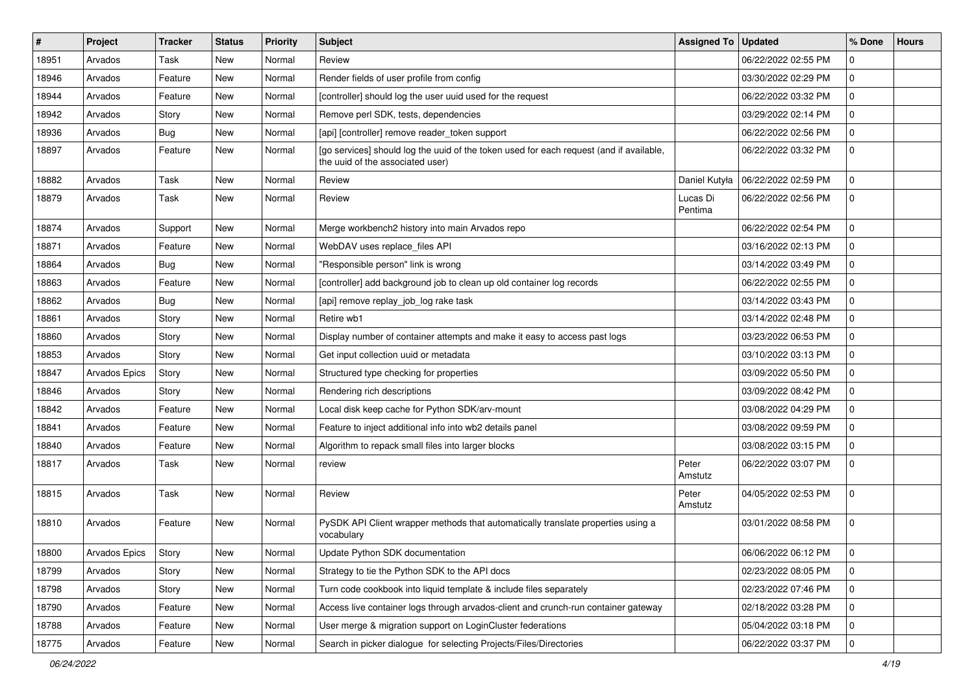| #     | Project       | Tracker | <b>Status</b> | Priority | <b>Subject</b>                                                                                                              | <b>Assigned To</b>  | <b>Updated</b>      | % Done      | <b>Hours</b> |
|-------|---------------|---------|---------------|----------|-----------------------------------------------------------------------------------------------------------------------------|---------------------|---------------------|-------------|--------------|
| 18951 | Arvados       | Task    | <b>New</b>    | Normal   | Review                                                                                                                      |                     | 06/22/2022 02:55 PM | 0           |              |
| 18946 | Arvados       | Feature | <b>New</b>    | Normal   | Render fields of user profile from config                                                                                   |                     | 03/30/2022 02:29 PM | $\mathbf 0$ |              |
| 18944 | Arvados       | Feature | New           | Normal   | [controller] should log the user uuid used for the request                                                                  |                     | 06/22/2022 03:32 PM | $\mathbf 0$ |              |
| 18942 | Arvados       | Story   | <b>New</b>    | Normal   | Remove perl SDK, tests, dependencies                                                                                        |                     | 03/29/2022 02:14 PM | $\mathbf 0$ |              |
| 18936 | Arvados       | Bug     | <b>New</b>    | Normal   | [api] [controller] remove reader_token support                                                                              |                     | 06/22/2022 02:56 PM | $\mathbf 0$ |              |
| 18897 | Arvados       | Feature | New           | Normal   | [go services] should log the uuid of the token used for each request (and if available,<br>the uuid of the associated user) |                     | 06/22/2022 03:32 PM | $\mathbf 0$ |              |
| 18882 | Arvados       | Task    | New           | Normal   | Review                                                                                                                      | Daniel Kutyła       | 06/22/2022 02:59 PM | $\mathbf 0$ |              |
| 18879 | Arvados       | Task    | New           | Normal   | Review                                                                                                                      | Lucas Di<br>Pentima | 06/22/2022 02:56 PM | $\mathbf 0$ |              |
| 18874 | Arvados       | Support | <b>New</b>    | Normal   | Merge workbench2 history into main Arvados repo                                                                             |                     | 06/22/2022 02:54 PM | $\mathbf 0$ |              |
| 18871 | Arvados       | Feature | New           | Normal   | WebDAV uses replace_files API                                                                                               |                     | 03/16/2022 02:13 PM | $\mathbf 0$ |              |
| 18864 | Arvados       | Bug     | <b>New</b>    | Normal   | "Responsible person" link is wrong                                                                                          |                     | 03/14/2022 03:49 PM | $\mathbf 0$ |              |
| 18863 | Arvados       | Feature | New           | Normal   | [controller] add background job to clean up old container log records                                                       |                     | 06/22/2022 02:55 PM | $\mathbf 0$ |              |
| 18862 | Arvados       | Bug     | <b>New</b>    | Normal   | [api] remove replay_job_log rake task                                                                                       |                     | 03/14/2022 03:43 PM | $\mathbf 0$ |              |
| 18861 | Arvados       | Story   | New           | Normal   | Retire wb1                                                                                                                  |                     | 03/14/2022 02:48 PM | $\mathbf 0$ |              |
| 18860 | Arvados       | Story   | <b>New</b>    | Normal   | Display number of container attempts and make it easy to access past logs                                                   |                     | 03/23/2022 06:53 PM | $\mathbf 0$ |              |
| 18853 | Arvados       | Story   | New           | Normal   | Get input collection uuid or metadata                                                                                       |                     | 03/10/2022 03:13 PM | $\mathbf 0$ |              |
| 18847 | Arvados Epics | Story   | New           | Normal   | Structured type checking for properties                                                                                     |                     | 03/09/2022 05:50 PM | $\mathbf 0$ |              |
| 18846 | Arvados       | Story   | <b>New</b>    | Normal   | Rendering rich descriptions                                                                                                 |                     | 03/09/2022 08:42 PM | $\mathbf 0$ |              |
| 18842 | Arvados       | Feature | New           | Normal   | Local disk keep cache for Python SDK/arv-mount                                                                              |                     | 03/08/2022 04:29 PM | 0           |              |
| 18841 | Arvados       | Feature | New           | Normal   | Feature to inject additional info into wb2 details panel                                                                    |                     | 03/08/2022 09:59 PM | $\mathbf 0$ |              |
| 18840 | Arvados       | Feature | New           | Normal   | Algorithm to repack small files into larger blocks                                                                          |                     | 03/08/2022 03:15 PM | 0           |              |
| 18817 | Arvados       | Task    | <b>New</b>    | Normal   | review                                                                                                                      | Peter<br>Amstutz    | 06/22/2022 03:07 PM | $\mathbf 0$ |              |
| 18815 | Arvados       | Task    | <b>New</b>    | Normal   | Review                                                                                                                      | Peter<br>Amstutz    | 04/05/2022 02:53 PM | $\mathbf 0$ |              |
| 18810 | Arvados       | Feature | New           | Normal   | PySDK API Client wrapper methods that automatically translate properties using a<br>vocabulary                              |                     | 03/01/2022 08:58 PM | $\mathbf 0$ |              |
| 18800 | Arvados Epics | Story   | New           | Normal   | Update Python SDK documentation                                                                                             |                     | 06/06/2022 06:12 PM | U           |              |
| 18799 | Arvados       | Story   | New           | Normal   | Strategy to tie the Python SDK to the API docs                                                                              |                     | 02/23/2022 08:05 PM | $\mathbf 0$ |              |
| 18798 | Arvados       | Story   | New           | Normal   | Turn code cookbook into liquid template & include files separately                                                          |                     | 02/23/2022 07:46 PM | $\mathbf 0$ |              |
| 18790 | Arvados       | Feature | New           | Normal   | Access live container logs through arvados-client and crunch-run container gateway                                          |                     | 02/18/2022 03:28 PM | $\mathbf 0$ |              |
| 18788 | Arvados       | Feature | New           | Normal   | User merge & migration support on LoginCluster federations                                                                  |                     | 05/04/2022 03:18 PM | $\mathbf 0$ |              |
| 18775 | Arvados       | Feature | New           | Normal   | Search in picker dialogue for selecting Projects/Files/Directories                                                          |                     | 06/22/2022 03:37 PM | $\mathbf 0$ |              |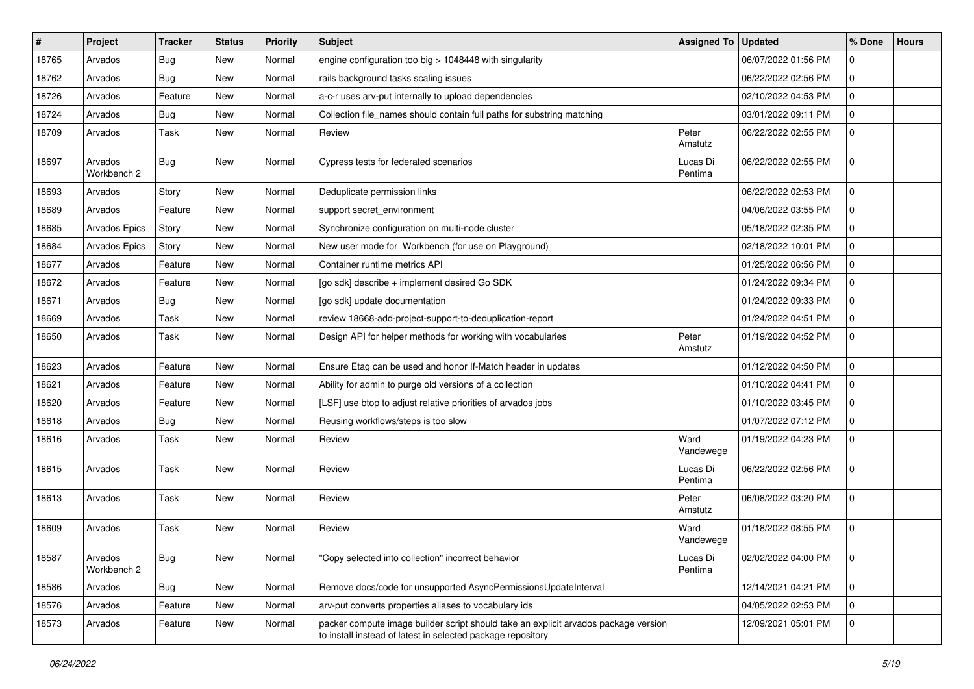| #     | <b>Project</b>         | <b>Tracker</b> | <b>Status</b> | <b>Priority</b> | <b>Subject</b>                                                                                                                                     | <b>Assigned To</b>  | <b>Updated</b>      | % Done         | <b>Hours</b> |
|-------|------------------------|----------------|---------------|-----------------|----------------------------------------------------------------------------------------------------------------------------------------------------|---------------------|---------------------|----------------|--------------|
| 18765 | Arvados                | <b>Bug</b>     | New           | Normal          | engine configuration too big > 1048448 with singularity                                                                                            |                     | 06/07/2022 01:56 PM | 0              |              |
| 18762 | Arvados                | Bug            | New           | Normal          | rails background tasks scaling issues                                                                                                              |                     | 06/22/2022 02:56 PM | 0              |              |
| 18726 | Arvados                | Feature        | New           | Normal          | a-c-r uses arv-put internally to upload dependencies                                                                                               |                     | 02/10/2022 04:53 PM | $\mathbf 0$    |              |
| 18724 | Arvados                | Bug            | New           | Normal          | Collection file_names should contain full paths for substring matching                                                                             |                     | 03/01/2022 09:11 PM | $\overline{0}$ |              |
| 18709 | Arvados                | Task           | New           | Normal          | Review                                                                                                                                             | Peter<br>Amstutz    | 06/22/2022 02:55 PM | $\overline{0}$ |              |
| 18697 | Arvados<br>Workbench 2 | <b>Bug</b>     | New           | Normal          | Cypress tests for federated scenarios                                                                                                              | Lucas Di<br>Pentima | 06/22/2022 02:55 PM | $\overline{0}$ |              |
| 18693 | Arvados                | Story          | New           | Normal          | Deduplicate permission links                                                                                                                       |                     | 06/22/2022 02:53 PM | $\mathbf 0$    |              |
| 18689 | Arvados                | Feature        | New           | Normal          | support secret environment                                                                                                                         |                     | 04/06/2022 03:55 PM | $\overline{0}$ |              |
| 18685 | Arvados Epics          | Story          | New           | Normal          | Synchronize configuration on multi-node cluster                                                                                                    |                     | 05/18/2022 02:35 PM | $\mathbf 0$    |              |
| 18684 | Arvados Epics          | Story          | New           | Normal          | New user mode for Workbench (for use on Playground)                                                                                                |                     | 02/18/2022 10:01 PM | $\mathbf 0$    |              |
| 18677 | Arvados                | Feature        | New           | Normal          | Container runtime metrics API                                                                                                                      |                     | 01/25/2022 06:56 PM | $\overline{0}$ |              |
| 18672 | Arvados                | Feature        | New           | Normal          | [go sdk] describe + implement desired Go SDK                                                                                                       |                     | 01/24/2022 09:34 PM | $\mathbf 0$    |              |
| 18671 | Arvados                | Bug            | New           | Normal          | [go sdk] update documentation                                                                                                                      |                     | 01/24/2022 09:33 PM | 0              |              |
| 18669 | Arvados                | Task           | New           | Normal          | review 18668-add-project-support-to-deduplication-report                                                                                           |                     | 01/24/2022 04:51 PM | $\mathbf 0$    |              |
| 18650 | Arvados                | Task           | New           | Normal          | Design API for helper methods for working with vocabularies                                                                                        | Peter<br>Amstutz    | 01/19/2022 04:52 PM | $\overline{0}$ |              |
| 18623 | Arvados                | Feature        | New           | Normal          | Ensure Etag can be used and honor If-Match header in updates                                                                                       |                     | 01/12/2022 04:50 PM | $\mathbf 0$    |              |
| 18621 | Arvados                | Feature        | New           | Normal          | Ability for admin to purge old versions of a collection                                                                                            |                     | 01/10/2022 04:41 PM | $\mathbf 0$    |              |
| 18620 | Arvados                | Feature        | New           | Normal          | [LSF] use btop to adjust relative priorities of arvados jobs                                                                                       |                     | 01/10/2022 03:45 PM | $\overline{0}$ |              |
| 18618 | Arvados                | Bug            | New           | Normal          | Reusing workflows/steps is too slow                                                                                                                |                     | 01/07/2022 07:12 PM | $\mathbf 0$    |              |
| 18616 | Arvados                | Task           | New           | Normal          | Review                                                                                                                                             | Ward<br>Vandewege   | 01/19/2022 04:23 PM | $\overline{0}$ |              |
| 18615 | Arvados                | Task           | New           | Normal          | Review                                                                                                                                             | Lucas Di<br>Pentima | 06/22/2022 02:56 PM | $\mathbf 0$    |              |
| 18613 | Arvados                | Task           | New           | Normal          | Review                                                                                                                                             | Peter<br>Amstutz    | 06/08/2022 03:20 PM | $\mathbf 0$    |              |
| 18609 | Arvados                | Task           | <b>New</b>    | Normal          | Review                                                                                                                                             | Ward<br>Vandewege   | 01/18/2022 08:55 PM | $\overline{0}$ |              |
| 18587 | Arvados<br>Workbench 2 | <b>Bug</b>     | New           | Normal          | "Copy selected into collection" incorrect behavior                                                                                                 | Lucas Di<br>Pentima | 02/02/2022 04:00 PM | l 0            |              |
| 18586 | Arvados                | <b>Bug</b>     | New           | Normal          | Remove docs/code for unsupported AsyncPermissionsUpdateInterval                                                                                    |                     | 12/14/2021 04:21 PM | $\overline{0}$ |              |
| 18576 | Arvados                | Feature        | New           | Normal          | arv-put converts properties aliases to vocabulary ids                                                                                              |                     | 04/05/2022 02:53 PM | $\overline{0}$ |              |
| 18573 | Arvados                | Feature        | New           | Normal          | packer compute image builder script should take an explicit arvados package version<br>to install instead of latest in selected package repository |                     | 12/09/2021 05:01 PM | $\overline{0}$ |              |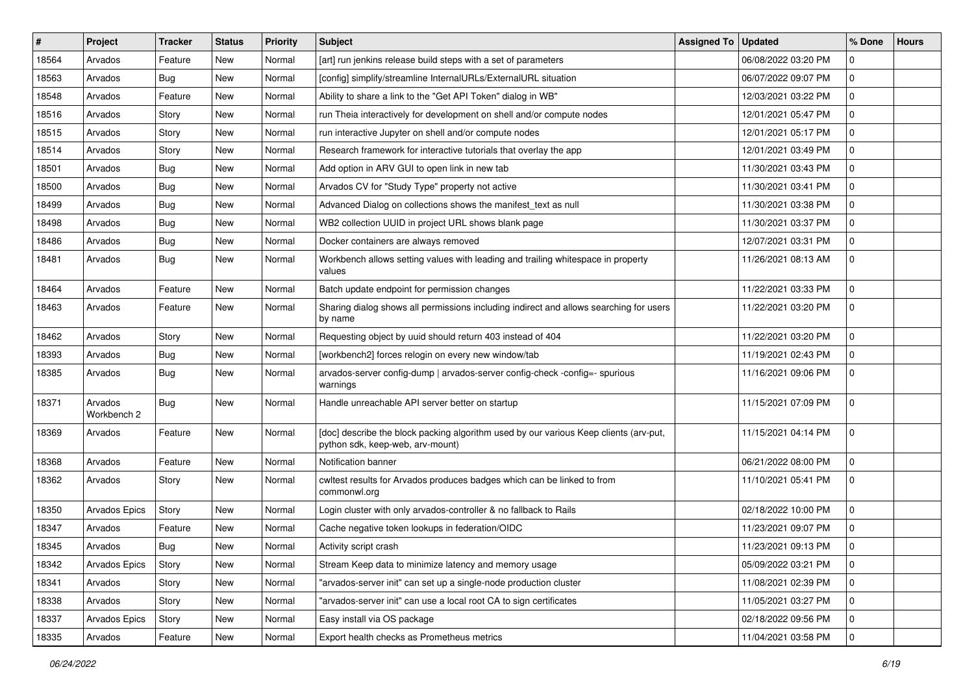| #     | Project                | Tracker    | <b>Status</b> | <b>Priority</b> | Subject                                                                                                                   | <b>Assigned To</b> | <b>Updated</b>      | % Done         | <b>Hours</b> |
|-------|------------------------|------------|---------------|-----------------|---------------------------------------------------------------------------------------------------------------------------|--------------------|---------------------|----------------|--------------|
| 18564 | Arvados                | Feature    | New           | Normal          | [art] run jenkins release build steps with a set of parameters                                                            |                    | 06/08/2022 03:20 PM | $\Omega$       |              |
| 18563 | Arvados                | Bug        | New           | Normal          | [config] simplify/streamline InternalURLs/ExternalURL situation                                                           |                    | 06/07/2022 09:07 PM | $\mathbf 0$    |              |
| 18548 | Arvados                | Feature    | New           | Normal          | Ability to share a link to the "Get API Token" dialog in WB"                                                              |                    | 12/03/2021 03:22 PM | $\mathbf 0$    |              |
| 18516 | Arvados                | Story      | New           | Normal          | run Theia interactively for development on shell and/or compute nodes                                                     |                    | 12/01/2021 05:47 PM | $\mathbf 0$    |              |
| 18515 | Arvados                | Story      | New           | Normal          | run interactive Jupyter on shell and/or compute nodes                                                                     |                    | 12/01/2021 05:17 PM | $\mathbf 0$    |              |
| 18514 | Arvados                | Story      | New           | Normal          | Research framework for interactive tutorials that overlay the app                                                         |                    | 12/01/2021 03:49 PM | $\mathbf 0$    |              |
| 18501 | Arvados                | <b>Bug</b> | New           | Normal          | Add option in ARV GUI to open link in new tab                                                                             |                    | 11/30/2021 03:43 PM | $\mathbf 0$    |              |
| 18500 | Arvados                | <b>Bug</b> | New           | Normal          | Arvados CV for "Study Type" property not active                                                                           |                    | 11/30/2021 03:41 PM | $\mathbf 0$    |              |
| 18499 | Arvados                | Bug        | New           | Normal          | Advanced Dialog on collections shows the manifest text as null                                                            |                    | 11/30/2021 03:38 PM | $\mathbf 0$    |              |
| 18498 | Arvados                | Bug        | <b>New</b>    | Normal          | WB2 collection UUID in project URL shows blank page                                                                       |                    | 11/30/2021 03:37 PM | 0              |              |
| 18486 | Arvados                | <b>Bug</b> | <b>New</b>    | Normal          | Docker containers are always removed                                                                                      |                    | 12/07/2021 03:31 PM | $\mathbf 0$    |              |
| 18481 | Arvados                | Bug        | New           | Normal          | Workbench allows setting values with leading and trailing whitespace in property<br>values                                |                    | 11/26/2021 08:13 AM | $\mathbf 0$    |              |
| 18464 | Arvados                | Feature    | New           | Normal          | Batch update endpoint for permission changes                                                                              |                    | 11/22/2021 03:33 PM | $\mathbf{0}$   |              |
| 18463 | Arvados                | Feature    | New           | Normal          | Sharing dialog shows all permissions including indirect and allows searching for users<br>by name                         |                    | 11/22/2021 03:20 PM | 0              |              |
| 18462 | Arvados                | Story      | New           | Normal          | Requesting object by uuid should return 403 instead of 404                                                                |                    | 11/22/2021 03:20 PM | $\mathbf 0$    |              |
| 18393 | Arvados                | Bug        | <b>New</b>    | Normal          | [workbench2] forces relogin on every new window/tab                                                                       |                    | 11/19/2021 02:43 PM | 0              |              |
| 18385 | Arvados                | Bug        | New           | Normal          | arvados-server config-dump   arvados-server config-check -config=- spurious<br>warnings                                   |                    | 11/16/2021 09:06 PM | $\mathbf 0$    |              |
| 18371 | Arvados<br>Workbench 2 | Bug        | New           | Normal          | Handle unreachable API server better on startup                                                                           |                    | 11/15/2021 07:09 PM | $\mathbf 0$    |              |
| 18369 | Arvados                | Feature    | New           | Normal          | [doc] describe the block packing algorithm used by our various Keep clients (arv-put,<br>python sdk, keep-web, arv-mount) |                    | 11/15/2021 04:14 PM | $\overline{0}$ |              |
| 18368 | Arvados                | Feature    | New           | Normal          | Notification banner                                                                                                       |                    | 06/21/2022 08:00 PM | $\mathbf 0$    |              |
| 18362 | Arvados                | Story      | <b>New</b>    | Normal          | cwltest results for Arvados produces badges which can be linked to from<br>commonwl.org                                   |                    | 11/10/2021 05:41 PM | 0              |              |
| 18350 | Arvados Epics          | Story      | New           | Normal          | Login cluster with only arvados-controller & no fallback to Rails                                                         |                    | 02/18/2022 10:00 PM | $\mathbf 0$    |              |
| 18347 | Arvados                | Feature    | <b>New</b>    | Normal          | Cache negative token lookups in federation/OIDC                                                                           |                    | 11/23/2021 09:07 PM | $\overline{0}$ |              |
| 18345 | Arvados                | <b>Bug</b> | New           | Normal          | Activity script crash                                                                                                     |                    | 11/23/2021 09:13 PM | $\mathbf 0$    |              |
| 18342 | Arvados Epics          | Story      | New           | Normal          | Stream Keep data to minimize latency and memory usage                                                                     |                    | 05/09/2022 03:21 PM | $\overline{0}$ |              |
| 18341 | Arvados                | Story      | New           | Normal          | "arvados-server init" can set up a single-node production cluster                                                         |                    | 11/08/2021 02:39 PM | $\overline{0}$ |              |
| 18338 | Arvados                | Story      | New           | Normal          | "arvados-server init" can use a local root CA to sign certificates                                                        |                    | 11/05/2021 03:27 PM | $\overline{0}$ |              |
| 18337 | Arvados Epics          | Story      | New           | Normal          | Easy install via OS package                                                                                               |                    | 02/18/2022 09:56 PM | $\overline{0}$ |              |
| 18335 | Arvados                | Feature    | New           | Normal          | Export health checks as Prometheus metrics                                                                                |                    | 11/04/2021 03:58 PM | 0              |              |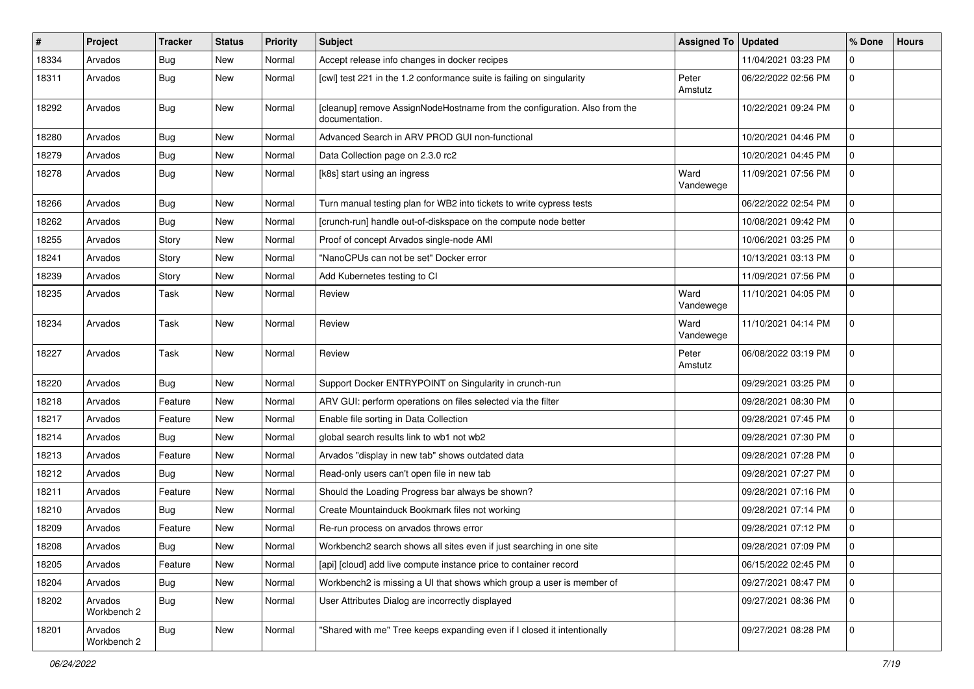| $\pmb{\#}$ | Project                | <b>Tracker</b> | <b>Status</b> | <b>Priority</b> | Subject                                                                                     | <b>Assigned To</b> | <b>Updated</b>      | % Done         | <b>Hours</b> |
|------------|------------------------|----------------|---------------|-----------------|---------------------------------------------------------------------------------------------|--------------------|---------------------|----------------|--------------|
| 18334      | Arvados                | <b>Bug</b>     | <b>New</b>    | Normal          | Accept release info changes in docker recipes                                               |                    | 11/04/2021 03:23 PM | $\mathbf 0$    |              |
| 18311      | Arvados                | Bug            | New           | Normal          | [cwl] test 221 in the 1.2 conformance suite is failing on singularity                       | Peter<br>Amstutz   | 06/22/2022 02:56 PM | $\overline{0}$ |              |
| 18292      | Arvados                | Bug            | <b>New</b>    | Normal          | [cleanup] remove AssignNodeHostname from the configuration. Also from the<br>documentation. |                    | 10/22/2021 09:24 PM | $\overline{0}$ |              |
| 18280      | Arvados                | Bug            | New           | Normal          | Advanced Search in ARV PROD GUI non-functional                                              |                    | 10/20/2021 04:46 PM | $\mathbf 0$    |              |
| 18279      | Arvados                | <b>Bug</b>     | <b>New</b>    | Normal          | Data Collection page on 2.3.0 rc2                                                           |                    | 10/20/2021 04:45 PM | $\overline{0}$ |              |
| 18278      | Arvados                | Bug            | New           | Normal          | [k8s] start using an ingress                                                                | Ward<br>Vandewege  | 11/09/2021 07:56 PM | $\overline{0}$ |              |
| 18266      | Arvados                | <b>Bug</b>     | New           | Normal          | Turn manual testing plan for WB2 into tickets to write cypress tests                        |                    | 06/22/2022 02:54 PM | $\overline{0}$ |              |
| 18262      | Arvados                | Bug            | New           | Normal          | [crunch-run] handle out-of-diskspace on the compute node better                             |                    | 10/08/2021 09:42 PM | $\mathbf 0$    |              |
| 18255      | Arvados                | Story          | New           | Normal          | Proof of concept Arvados single-node AMI                                                    |                    | 10/06/2021 03:25 PM | $\overline{0}$ |              |
| 18241      | Arvados                | Story          | New           | Normal          | "NanoCPUs can not be set" Docker error                                                      |                    | 10/13/2021 03:13 PM | $\mathbf 0$    |              |
| 18239      | Arvados                | Story          | New           | Normal          | Add Kubernetes testing to CI                                                                |                    | 11/09/2021 07:56 PM | $\mathbf 0$    |              |
| 18235      | Arvados                | Task           | <b>New</b>    | Normal          | Review                                                                                      | Ward<br>Vandewege  | 11/10/2021 04:05 PM | $\overline{0}$ |              |
| 18234      | Arvados                | <b>Task</b>    | New           | Normal          | Review                                                                                      | Ward<br>Vandewege  | 11/10/2021 04:14 PM | $\mathbf 0$    |              |
| 18227      | Arvados                | Task           | New           | Normal          | Review                                                                                      | Peter<br>Amstutz   | 06/08/2022 03:19 PM | $\overline{0}$ |              |
| 18220      | Arvados                | Bug            | New           | Normal          | Support Docker ENTRYPOINT on Singularity in crunch-run                                      |                    | 09/29/2021 03:25 PM | $\overline{0}$ |              |
| 18218      | Arvados                | Feature        | New           | Normal          | ARV GUI: perform operations on files selected via the filter                                |                    | 09/28/2021 08:30 PM | $\mathbf 0$    |              |
| 18217      | Arvados                | Feature        | New           | Normal          | Enable file sorting in Data Collection                                                      |                    | 09/28/2021 07:45 PM | $\overline{0}$ |              |
| 18214      | Arvados                | Bug            | New           | Normal          | global search results link to wb1 not wb2                                                   |                    | 09/28/2021 07:30 PM | $\mathbf 0$    |              |
| 18213      | Arvados                | Feature        | New           | Normal          | Arvados "display in new tab" shows outdated data                                            |                    | 09/28/2021 07:28 PM | $\mathbf 0$    |              |
| 18212      | Arvados                | Bug            | New           | Normal          | Read-only users can't open file in new tab                                                  |                    | 09/28/2021 07:27 PM | $\overline{0}$ |              |
| 18211      | Arvados                | Feature        | New           | Normal          | Should the Loading Progress bar always be shown?                                            |                    | 09/28/2021 07:16 PM | $\mathbf 0$    |              |
| 18210      | Arvados                | Bug            | New           | Normal          | Create Mountainduck Bookmark files not working                                              |                    | 09/28/2021 07:14 PM | $\mathbf 0$    |              |
| 18209      | Arvados                | Feature        | New           | Normal          | Re-run process on arvados throws error                                                      |                    | 09/28/2021 07:12 PM | $\overline{0}$ |              |
| 18208      | Arvados                | <b>Bug</b>     | New           | Normal          | Workbench2 search shows all sites even if just searching in one site                        |                    | 09/28/2021 07:09 PM | $\mathbf 0$    |              |
| 18205      | Arvados                | Feature        | <b>New</b>    | Normal          | [api] [cloud] add live compute instance price to container record                           |                    | 06/15/2022 02:45 PM | $\overline{0}$ |              |
| 18204      | Arvados                | Bug            | New           | Normal          | Workbench2 is missing a UI that shows which group a user is member of                       |                    | 09/27/2021 08:47 PM | $\overline{0}$ |              |
| 18202      | Arvados<br>Workbench 2 | <b>Bug</b>     | New           | Normal          | User Attributes Dialog are incorrectly displayed                                            |                    | 09/27/2021 08:36 PM | $\overline{0}$ |              |
| 18201      | Arvados<br>Workbench 2 | <b>Bug</b>     | New           | Normal          | "Shared with me" Tree keeps expanding even if I closed it intentionally                     |                    | 09/27/2021 08:28 PM | $\overline{0}$ |              |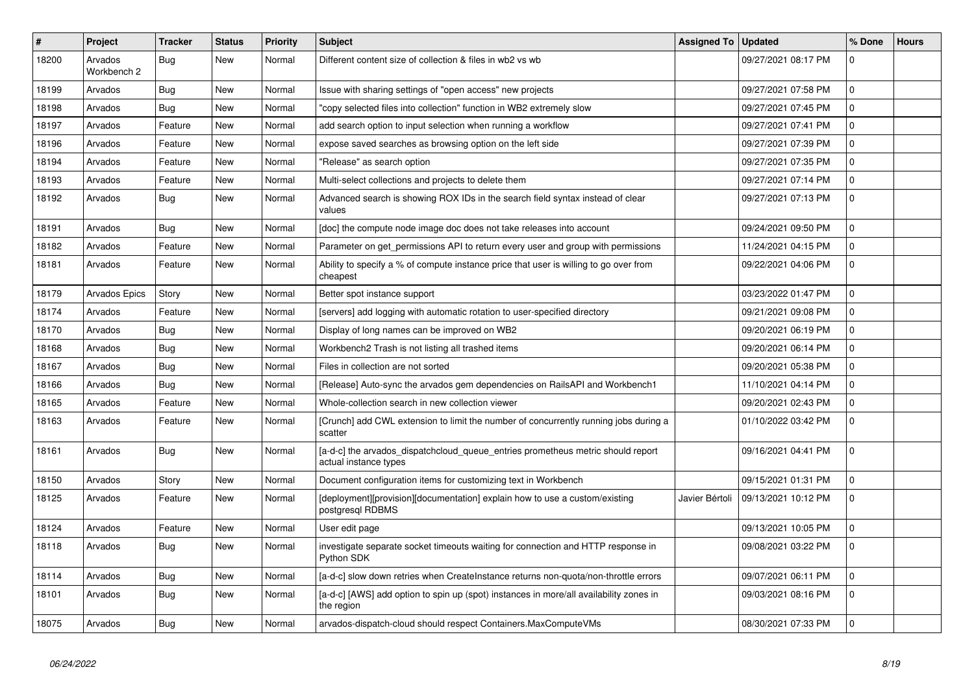| $\vert$ # | <b>Project</b>         | Tracker    | <b>Status</b> | <b>Priority</b> | <b>Subject</b>                                                                                           | <b>Assigned To</b> | <b>Updated</b>      | % Done       | <b>Hours</b> |
|-----------|------------------------|------------|---------------|-----------------|----------------------------------------------------------------------------------------------------------|--------------------|---------------------|--------------|--------------|
| 18200     | Arvados<br>Workbench 2 | Bug        | <b>New</b>    | Normal          | Different content size of collection & files in wb2 vs wb                                                |                    | 09/27/2021 08:17 PM | $\Omega$     |              |
| 18199     | Arvados                | Bug        | <b>New</b>    | Normal          | Issue with sharing settings of "open access" new projects                                                |                    | 09/27/2021 07:58 PM | $\mathbf 0$  |              |
| 18198     | Arvados                | Bug        | <b>New</b>    | Normal          | 'copy selected files into collection" function in WB2 extremely slow                                     |                    | 09/27/2021 07:45 PM | $\mathbf 0$  |              |
| 18197     | Arvados                | Feature    | <b>New</b>    | Normal          | add search option to input selection when running a workflow                                             |                    | 09/27/2021 07:41 PM | $\mathbf 0$  |              |
| 18196     | Arvados                | Feature    | <b>New</b>    | Normal          | expose saved searches as browsing option on the left side                                                |                    | 09/27/2021 07:39 PM | $\mathbf 0$  |              |
| 18194     | Arvados                | Feature    | New           | Normal          | 'Release" as search option                                                                               |                    | 09/27/2021 07:35 PM | $\mathbf 0$  |              |
| 18193     | Arvados                | Feature    | <b>New</b>    | Normal          | Multi-select collections and projects to delete them                                                     |                    | 09/27/2021 07:14 PM | $\mathbf 0$  |              |
| 18192     | Arvados                | <b>Bug</b> | <b>New</b>    | Normal          | Advanced search is showing ROX IDs in the search field syntax instead of clear<br>values                 |                    | 09/27/2021 07:13 PM | $\Omega$     |              |
| 18191     | Arvados                | Bug        | <b>New</b>    | Normal          | [doc] the compute node image doc does not take releases into account                                     |                    | 09/24/2021 09:50 PM | $\mathbf{0}$ |              |
| 18182     | Arvados                | Feature    | <b>New</b>    | Normal          | Parameter on get_permissions API to return every user and group with permissions                         |                    | 11/24/2021 04:15 PM | $\mathbf 0$  |              |
| 18181     | Arvados                | Feature    | New           | Normal          | Ability to specify a % of compute instance price that user is willing to go over from<br>cheapest        |                    | 09/22/2021 04:06 PM | $\mathbf 0$  |              |
| 18179     | Arvados Epics          | Story      | <b>New</b>    | Normal          | Better spot instance support                                                                             |                    | 03/23/2022 01:47 PM | $\mathbf{0}$ |              |
| 18174     | Arvados                | Feature    | <b>New</b>    | Normal          | [servers] add logging with automatic rotation to user-specified directory                                |                    | 09/21/2021 09:08 PM | $\mathbf 0$  |              |
| 18170     | Arvados                | <b>Bug</b> | <b>New</b>    | Normal          | Display of long names can be improved on WB2                                                             |                    | 09/20/2021 06:19 PM | $\Omega$     |              |
| 18168     | Arvados                | <b>Bug</b> | <b>New</b>    | Normal          | Workbench2 Trash is not listing all trashed items                                                        |                    | 09/20/2021 06:14 PM | $\mathbf 0$  |              |
| 18167     | Arvados                | Bug        | New           | Normal          | Files in collection are not sorted                                                                       |                    | 09/20/2021 05:38 PM | $\mathbf 0$  |              |
| 18166     | Arvados                | <b>Bug</b> | <b>New</b>    | Normal          | [Release] Auto-sync the arvados gem dependencies on RailsAPI and Workbench1                              |                    | 11/10/2021 04:14 PM | $\pmb{0}$    |              |
| 18165     | Arvados                | Feature    | New           | Normal          | Whole-collection search in new collection viewer                                                         |                    | 09/20/2021 02:43 PM | $\mathbf 0$  |              |
| 18163     | Arvados                | Feature    | <b>New</b>    | Normal          | [Crunch] add CWL extension to limit the number of concurrently running jobs during a<br>scatter          |                    | 01/10/2022 03:42 PM | $\mathbf 0$  |              |
| 18161     | Arvados                | Bug        | <b>New</b>    | Normal          | [a-d-c] the arvados dispatchcloud queue entries prometheus metric should report<br>actual instance types |                    | 09/16/2021 04:41 PM | $\pmb{0}$    |              |
| 18150     | Arvados                | Story      | <b>New</b>    | Normal          | Document configuration items for customizing text in Workbench                                           |                    | 09/15/2021 01:31 PM | $\mathbf{0}$ |              |
| 18125     | Arvados                | Feature    | <b>New</b>    | Normal          | [deployment][provision][documentation] explain how to use a custom/existing<br>postgresql RDBMS          | Javier Bértoli     | 09/13/2021 10:12 PM | $\mathbf 0$  |              |
| 18124     | Arvados                | Feature    | <b>New</b>    | Normal          | User edit page                                                                                           |                    | 09/13/2021 10:05 PM | $\mathbf 0$  |              |
| 18118     | Arvados                | <b>Bug</b> | <b>New</b>    | Normal          | investigate separate socket timeouts waiting for connection and HTTP response in<br>Python SDK           |                    | 09/08/2021 03:22 PM | $\mathbf 0$  |              |
| 18114     | Arvados                | <b>Bug</b> | <b>New</b>    | Normal          | [a-d-c] slow down retries when CreateInstance returns non-quota/non-throttle errors                      |                    | 09/07/2021 06:11 PM | $\mathbf{0}$ |              |
| 18101     | Arvados                | Bug        | <b>New</b>    | Normal          | [a-d-c] [AWS] add option to spin up (spot) instances in more/all availability zones in<br>the region     |                    | 09/03/2021 08:16 PM | $\mathbf 0$  |              |
| 18075     | Arvados                | Bug        | New           | Normal          | arvados-dispatch-cloud should respect Containers.MaxComputeVMs                                           |                    | 08/30/2021 07:33 PM | $\mathbf 0$  |              |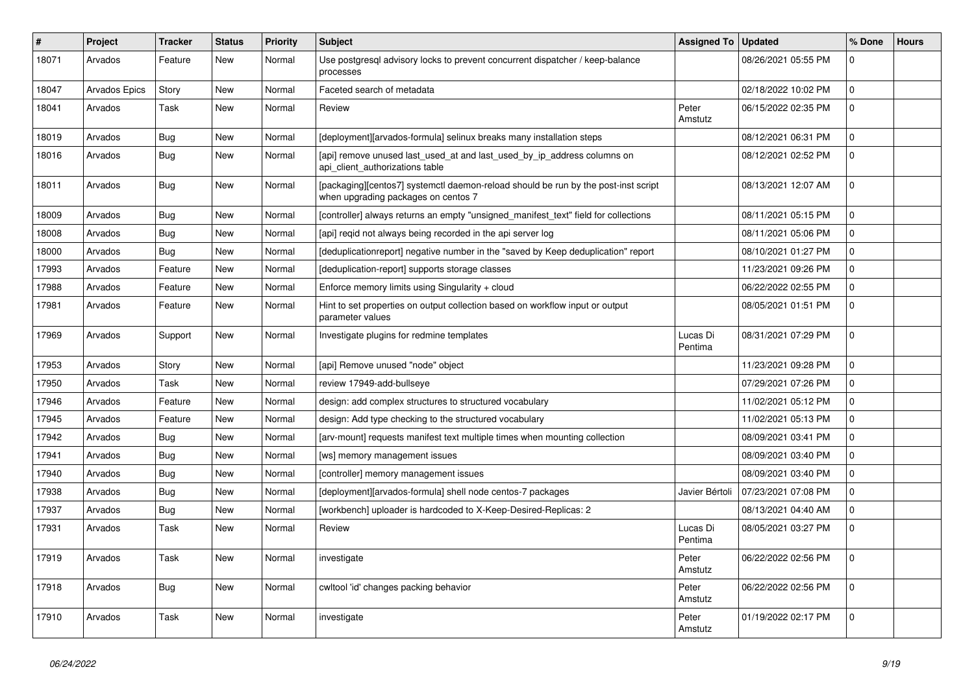| $\#$  | <b>Project</b> | <b>Tracker</b> | <b>Status</b> | <b>Priority</b> | <b>Subject</b>                                                                                                            | <b>Assigned To</b>  | <b>Updated</b>      | % Done         | <b>Hours</b> |
|-------|----------------|----------------|---------------|-----------------|---------------------------------------------------------------------------------------------------------------------------|---------------------|---------------------|----------------|--------------|
| 18071 | Arvados        | Feature        | <b>New</b>    | Normal          | Use postgresql advisory locks to prevent concurrent dispatcher / keep-balance<br>processes                                |                     | 08/26/2021 05:55 PM | $\mathbf 0$    |              |
| 18047 | Arvados Epics  | Story          | <b>New</b>    | Normal          | Faceted search of metadata                                                                                                |                     | 02/18/2022 10:02 PM | $\mathbf{0}$   |              |
| 18041 | Arvados        | Task           | <b>New</b>    | Normal          | Review                                                                                                                    | Peter<br>Amstutz    | 06/15/2022 02:35 PM | $\mathbf{0}$   |              |
| 18019 | Arvados        | Bug            | <b>New</b>    | Normal          | [deployment][arvados-formula] selinux breaks many installation steps                                                      |                     | 08/12/2021 06:31 PM | $\mathbf{0}$   |              |
| 18016 | Arvados        | <b>Bug</b>     | <b>New</b>    | Normal          | [api] remove unused last_used_at and last_used_by_ip_address columns on<br>api client authorizations table                |                     | 08/12/2021 02:52 PM | $\overline{0}$ |              |
| 18011 | Arvados        | Bug            | <b>New</b>    | Normal          | [packaging][centos7] systemctl daemon-reload should be run by the post-inst script<br>when upgrading packages on centos 7 |                     | 08/13/2021 12:07 AM | $\mathbf{0}$   |              |
| 18009 | Arvados        | <b>Bug</b>     | <b>New</b>    | Normal          | [controller] always returns an empty "unsigned_manifest_text" field for collections                                       |                     | 08/11/2021 05:15 PM | $\overline{0}$ |              |
| 18008 | Arvados        | Bug            | <b>New</b>    | Normal          | [api] regid not always being recorded in the api server log                                                               |                     | 08/11/2021 05:06 PM | $\mathbf 0$    |              |
| 18000 | Arvados        | Bug            | <b>New</b>    | Normal          | [deduplicationreport] negative number in the "saved by Keep deduplication" report                                         |                     | 08/10/2021 01:27 PM | $\mathbf 0$    |              |
| 17993 | Arvados        | Feature        | <b>New</b>    | Normal          | [deduplication-report] supports storage classes                                                                           |                     | 11/23/2021 09:26 PM | $\overline{0}$ |              |
| 17988 | Arvados        | Feature        | <b>New</b>    | Normal          | Enforce memory limits using Singularity + cloud                                                                           |                     | 06/22/2022 02:55 PM | $\overline{0}$ |              |
| 17981 | Arvados        | Feature        | <b>New</b>    | Normal          | Hint to set properties on output collection based on workflow input or output<br>parameter values                         |                     | 08/05/2021 01:51 PM | $\overline{0}$ |              |
| 17969 | Arvados        | Support        | New           | Normal          | Investigate plugins for redmine templates                                                                                 | Lucas Di<br>Pentima | 08/31/2021 07:29 PM | $\overline{0}$ |              |
| 17953 | Arvados        | Story          | <b>New</b>    | Normal          | [api] Remove unused "node" object                                                                                         |                     | 11/23/2021 09:28 PM | $\Omega$       |              |
| 17950 | Arvados        | Task           | <b>New</b>    | Normal          | review 17949-add-bullseye                                                                                                 |                     | 07/29/2021 07:26 PM | $\overline{0}$ |              |
| 17946 | Arvados        | Feature        | <b>New</b>    | Normal          | design: add complex structures to structured vocabulary                                                                   |                     | 11/02/2021 05:12 PM | $\mathbf{0}$   |              |
| 17945 | Arvados        | Feature        | New           | Normal          | design: Add type checking to the structured vocabulary                                                                    |                     | 11/02/2021 05:13 PM | $\mathbf{0}$   |              |
| 17942 | Arvados        | <b>Bug</b>     | <b>New</b>    | Normal          | [arv-mount] requests manifest text multiple times when mounting collection                                                |                     | 08/09/2021 03:41 PM | $\Omega$       |              |
| 17941 | Arvados        | <b>Bug</b>     | <b>New</b>    | Normal          | [ws] memory management issues                                                                                             |                     | 08/09/2021 03:40 PM | $\mathbf 0$    |              |
| 17940 | Arvados        | Bug            | <b>New</b>    | Normal          | [controller] memory management issues                                                                                     |                     | 08/09/2021 03:40 PM | $\mathbf{0}$   |              |
| 17938 | Arvados        | Bug            | <b>New</b>    | Normal          | [deployment][arvados-formula] shell node centos-7 packages                                                                | Javier Bértoli      | 07/23/2021 07:08 PM | $\mathbf{0}$   |              |
| 17937 | Arvados        | <b>Bug</b>     | <b>New</b>    | Normal          | [workbench] uploader is hardcoded to X-Keep-Desired-Replicas: 2                                                           |                     | 08/13/2021 04:40 AM | $\mathbf 0$    |              |
| 17931 | Arvados        | Task           | New           | Normal          | Review                                                                                                                    | Lucas Di<br>Pentima | 08/05/2021 03:27 PM | $\overline{0}$ |              |
| 17919 | Arvados        | Task           | New           | Normal          | investigate                                                                                                               | Peter<br>Amstutz    | 06/22/2022 02:56 PM | $\mathbf 0$    |              |
| 17918 | Arvados        | Bug            | <b>New</b>    | Normal          | cwltool 'id' changes packing behavior                                                                                     | Peter<br>Amstutz    | 06/22/2022 02:56 PM | $\mathbf{0}$   |              |
| 17910 | Arvados        | Task           | <b>New</b>    | Normal          | investigate                                                                                                               | Peter<br>Amstutz    | 01/19/2022 02:17 PM | $\overline{0}$ |              |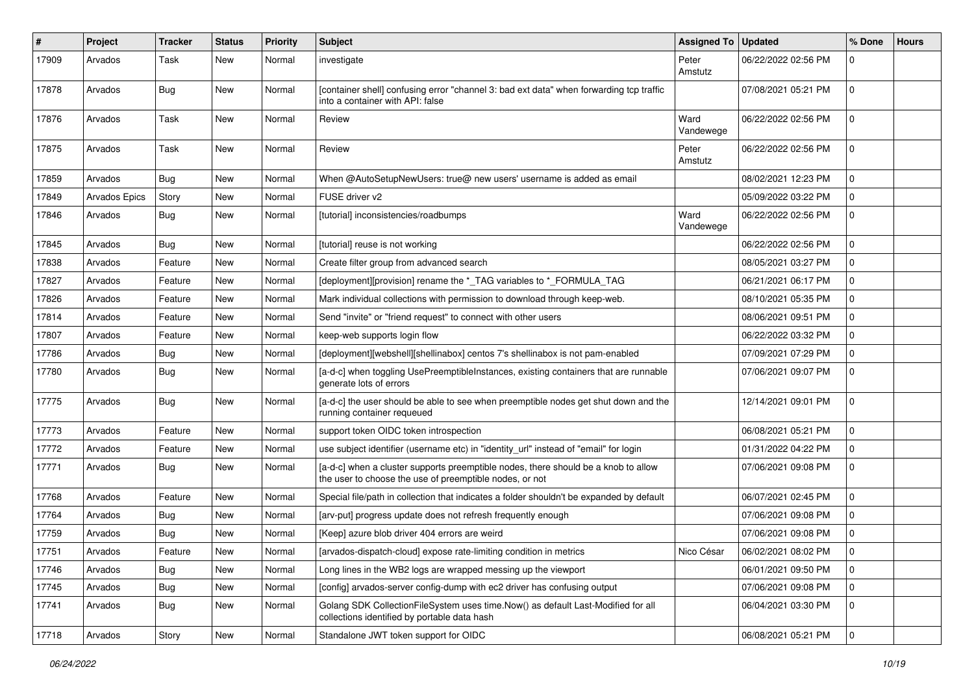| #     | Project              | <b>Tracker</b> | <b>Status</b> | <b>Priority</b> | <b>Subject</b>                                                                                                                                | <b>Assigned To</b> | <b>Updated</b>      | % Done         | <b>Hours</b> |
|-------|----------------------|----------------|---------------|-----------------|-----------------------------------------------------------------------------------------------------------------------------------------------|--------------------|---------------------|----------------|--------------|
| 17909 | Arvados              | Task           | New           | Normal          | investigate                                                                                                                                   | Peter<br>Amstutz   | 06/22/2022 02:56 PM | 0              |              |
| 17878 | Arvados              | Bug            | New           | Normal          | [container shell] confusing error "channel 3: bad ext data" when forwarding tcp traffic<br>into a container with API: false                   |                    | 07/08/2021 05:21 PM | $\mathbf 0$    |              |
| 17876 | Arvados              | Task           | New           | Normal          | Review                                                                                                                                        | Ward<br>Vandewege  | 06/22/2022 02:56 PM | 0              |              |
| 17875 | Arvados              | Task           | New           | Normal          | Review                                                                                                                                        | Peter<br>Amstutz   | 06/22/2022 02:56 PM | $\overline{0}$ |              |
| 17859 | Arvados              | Bug            | New           | Normal          | When @AutoSetupNewUsers: true@ new users' username is added as email                                                                          |                    | 08/02/2021 12:23 PM | $\mathbf{0}$   |              |
| 17849 | <b>Arvados Epics</b> | Story          | New           | Normal          | FUSE driver v2                                                                                                                                |                    | 05/09/2022 03:22 PM | 0              |              |
| 17846 | Arvados              | Bug            | New           | Normal          | [tutorial] inconsistencies/roadbumps                                                                                                          | Ward<br>Vandewege  | 06/22/2022 02:56 PM | $\mathbf 0$    |              |
| 17845 | Arvados              | Bug            | New           | Normal          | [tutorial] reuse is not working                                                                                                               |                    | 06/22/2022 02:56 PM | 0              |              |
| 17838 | Arvados              | Feature        | New           | Normal          | Create filter group from advanced search                                                                                                      |                    | 08/05/2021 03:27 PM | $\mathbf 0$    |              |
| 17827 | Arvados              | Feature        | New           | Normal          | [deployment][provision] rename the *_TAG variables to *_FORMULA_TAG                                                                           |                    | 06/21/2021 06:17 PM | $\overline{0}$ |              |
| 17826 | Arvados              | Feature        | New           | Normal          | Mark individual collections with permission to download through keep-web.                                                                     |                    | 08/10/2021 05:35 PM | $\mathbf 0$    |              |
| 17814 | Arvados              | Feature        | New           | Normal          | Send "invite" or "friend request" to connect with other users                                                                                 |                    | 08/06/2021 09:51 PM | $\mathbf 0$    |              |
| 17807 | Arvados              | Feature        | New           | Normal          | keep-web supports login flow                                                                                                                  |                    | 06/22/2022 03:32 PM | 0              |              |
| 17786 | Arvados              | <b>Bug</b>     | New           | Normal          | [deployment][webshell][shellinabox] centos 7's shellinabox is not pam-enabled                                                                 |                    | 07/09/2021 07:29 PM | $\mathbf 0$    |              |
| 17780 | Arvados              | <b>Bug</b>     | New           | Normal          | [a-d-c] when toggling UsePreemptibleInstances, existing containers that are runnable<br>generate lots of errors                               |                    | 07/06/2021 09:07 PM | $\mathbf 0$    |              |
| 17775 | Arvados              | Bug            | New           | Normal          | [a-d-c] the user should be able to see when preemptible nodes get shut down and the<br>running container requeued                             |                    | 12/14/2021 09:01 PM | $\mathbf 0$    |              |
| 17773 | Arvados              | Feature        | New           | Normal          | support token OIDC token introspection                                                                                                        |                    | 06/08/2021 05:21 PM | $\overline{0}$ |              |
| 17772 | Arvados              | Feature        | New           | Normal          | use subject identifier (username etc) in "identity_url" instead of "email" for login                                                          |                    | 01/31/2022 04:22 PM | $\mathbf 0$    |              |
| 17771 | Arvados              | Bug            | New           | Normal          | [a-d-c] when a cluster supports preemptible nodes, there should be a knob to allow<br>the user to choose the use of preemptible nodes, or not |                    | 07/06/2021 09:08 PM | 0              |              |
| 17768 | Arvados              | Feature        | New           | Normal          | Special file/path in collection that indicates a folder shouldn't be expanded by default                                                      |                    | 06/07/2021 02:45 PM | $\overline{0}$ |              |
| 17764 | Arvados              | <b>Bug</b>     | New           | Normal          | [arv-put] progress update does not refresh frequently enough                                                                                  |                    | 07/06/2021 09:08 PM | 0              |              |
| 17759 | Arvados              | Bug            | New           | Normal          | [Keep] azure blob driver 404 errors are weird                                                                                                 |                    | 07/06/2021 09:08 PM | $\mathbf 0$    |              |
| 17751 | Arvados              | Feature        | New           | Normal          | [arvados-dispatch-cloud] expose rate-limiting condition in metrics                                                                            | Nico César         | 06/02/2021 08:02 PM | $\mathbf 0$    |              |
| 17746 | Arvados              | <b>Bug</b>     | New           | Normal          | Long lines in the WB2 logs are wrapped messing up the viewport                                                                                |                    | 06/01/2021 09:50 PM | $\overline{0}$ |              |
| 17745 | Arvados              | Bug            | New           | Normal          | [config] arvados-server config-dump with ec2 driver has confusing output                                                                      |                    | 07/06/2021 09:08 PM | 0              |              |
| 17741 | Arvados              | Bug            | New           | Normal          | Golang SDK CollectionFileSystem uses time.Now() as default Last-Modified for all<br>collections identified by portable data hash              |                    | 06/04/2021 03:30 PM | $\overline{0}$ |              |
| 17718 | Arvados              | Story          | New           | Normal          | Standalone JWT token support for OIDC                                                                                                         |                    | 06/08/2021 05:21 PM | 0              |              |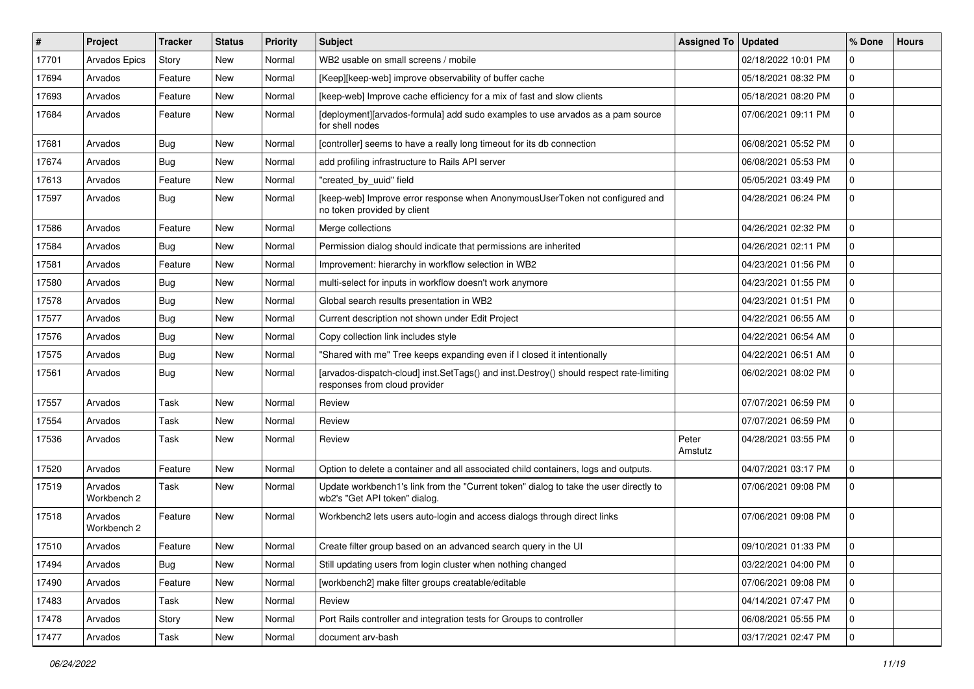| #     | Project                | Tracker | <b>Status</b> | <b>Priority</b> | <b>Subject</b>                                                                                                           | <b>Assigned To</b> | <b>Updated</b>      | % Done       | <b>Hours</b> |
|-------|------------------------|---------|---------------|-----------------|--------------------------------------------------------------------------------------------------------------------------|--------------------|---------------------|--------------|--------------|
| 17701 | Arvados Epics          | Story   | New           | Normal          | WB2 usable on small screens / mobile                                                                                     |                    | 02/18/2022 10:01 PM | $\mathbf 0$  |              |
| 17694 | Arvados                | Feature | <b>New</b>    | Normal          | [Keep][keep-web] improve observability of buffer cache                                                                   |                    | 05/18/2021 08:32 PM | $\mathbf{0}$ |              |
| 17693 | Arvados                | Feature | <b>New</b>    | Normal          | [keep-web] Improve cache efficiency for a mix of fast and slow clients                                                   |                    | 05/18/2021 08:20 PM | $\mathbf 0$  |              |
| 17684 | Arvados                | Feature | New           | Normal          | [deployment][arvados-formula] add sudo examples to use arvados as a pam source<br>for shell nodes                        |                    | 07/06/2021 09:11 PM | $\mathbf 0$  |              |
| 17681 | Arvados                | Bug     | <b>New</b>    | Normal          | [controller] seems to have a really long timeout for its db connection                                                   |                    | 06/08/2021 05:52 PM | 0            |              |
| 17674 | Arvados                | Bug     | <b>New</b>    | Normal          | add profiling infrastructure to Rails API server                                                                         |                    | 06/08/2021 05:53 PM | $\mathbf 0$  |              |
| 17613 | Arvados                | Feature | New           | Normal          | "created_by_uuid" field                                                                                                  |                    | 05/05/2021 03:49 PM | $\mathbf 0$  |              |
| 17597 | Arvados                | Bug     | New           | Normal          | [keep-web] Improve error response when AnonymousUserToken not configured and<br>no token provided by client              |                    | 04/28/2021 06:24 PM | $\mathbf 0$  |              |
| 17586 | Arvados                | Feature | <b>New</b>    | Normal          | Merge collections                                                                                                        |                    | 04/26/2021 02:32 PM | $\mathbf 0$  |              |
| 17584 | Arvados                | Bug     | <b>New</b>    | Normal          | Permission dialog should indicate that permissions are inherited                                                         |                    | 04/26/2021 02:11 PM | $\mathbf 0$  |              |
| 17581 | Arvados                | Feature | <b>New</b>    | Normal          | Improvement: hierarchy in workflow selection in WB2                                                                      |                    | 04/23/2021 01:56 PM | $\mathbf 0$  |              |
| 17580 | Arvados                | Bug     | <b>New</b>    | Normal          | multi-select for inputs in workflow doesn't work anymore                                                                 |                    | 04/23/2021 01:55 PM | $\mathbf 0$  |              |
| 17578 | Arvados                | Bug     | <b>New</b>    | Normal          | Global search results presentation in WB2                                                                                |                    | 04/23/2021 01:51 PM | $\mathbf 0$  |              |
| 17577 | Arvados                | Bug     | New           | Normal          | Current description not shown under Edit Project                                                                         |                    | 04/22/2021 06:55 AM | $\mathbf 0$  |              |
| 17576 | Arvados                | Bug     | <b>New</b>    | Normal          | Copy collection link includes style                                                                                      |                    | 04/22/2021 06:54 AM | $\mathbf 0$  |              |
| 17575 | Arvados                | Bug     | <b>New</b>    | Normal          | "Shared with me" Tree keeps expanding even if I closed it intentionally                                                  |                    | 04/22/2021 06:51 AM | $\mathbf 0$  |              |
| 17561 | Arvados                | Bug     | New           | Normal          | [arvados-dispatch-cloud] inst.SetTags() and inst.Destroy() should respect rate-limiting<br>responses from cloud provider |                    | 06/02/2021 08:02 PM | $\mathbf 0$  |              |
| 17557 | Arvados                | Task    | <b>New</b>    | Normal          | Review                                                                                                                   |                    | 07/07/2021 06:59 PM | $\mathbf 0$  |              |
| 17554 | Arvados                | Task    | New           | Normal          | Review                                                                                                                   |                    | 07/07/2021 06:59 PM | $\mathbf 0$  |              |
| 17536 | Arvados                | Task    | <b>New</b>    | Normal          | Review                                                                                                                   | Peter<br>Amstutz   | 04/28/2021 03:55 PM | $\mathbf 0$  |              |
| 17520 | Arvados                | Feature | <b>New</b>    | Normal          | Option to delete a container and all associated child containers, logs and outputs.                                      |                    | 04/07/2021 03:17 PM | $\Omega$     |              |
| 17519 | Arvados<br>Workbench 2 | Task    | New           | Normal          | Update workbench1's link from the "Current token" dialog to take the user directly to<br>wb2's "Get API token" dialog.   |                    | 07/06/2021 09:08 PM | $\mathbf 0$  |              |
| 17518 | Arvados<br>Workbench 2 | Feature | New           | Normal          | Workbench2 lets users auto-login and access dialogs through direct links                                                 |                    | 07/06/2021 09:08 PM | $\mathbf 0$  |              |
| 17510 | Arvados                | Feature | New           | Normal          | Create filter group based on an advanced search query in the UI                                                          |                    | 09/10/2021 01:33 PM | $\mathbf 0$  |              |
| 17494 | Arvados                | Bug     | New           | Normal          | Still updating users from login cluster when nothing changed                                                             |                    | 03/22/2021 04:00 PM | $\mathbf 0$  |              |
| 17490 | Arvados                | Feature | New           | Normal          | [workbench2] make filter groups creatable/editable                                                                       |                    | 07/06/2021 09:08 PM | $\mathbf 0$  |              |
| 17483 | Arvados                | Task    | New           | Normal          | Review                                                                                                                   |                    | 04/14/2021 07:47 PM | $\mathbf 0$  |              |
| 17478 | Arvados                | Story   | New           | Normal          | Port Rails controller and integration tests for Groups to controller                                                     |                    | 06/08/2021 05:55 PM | $\mathbf 0$  |              |
| 17477 | Arvados                | Task    | New           | Normal          | document arv-bash                                                                                                        |                    | 03/17/2021 02:47 PM | $\mathbf 0$  |              |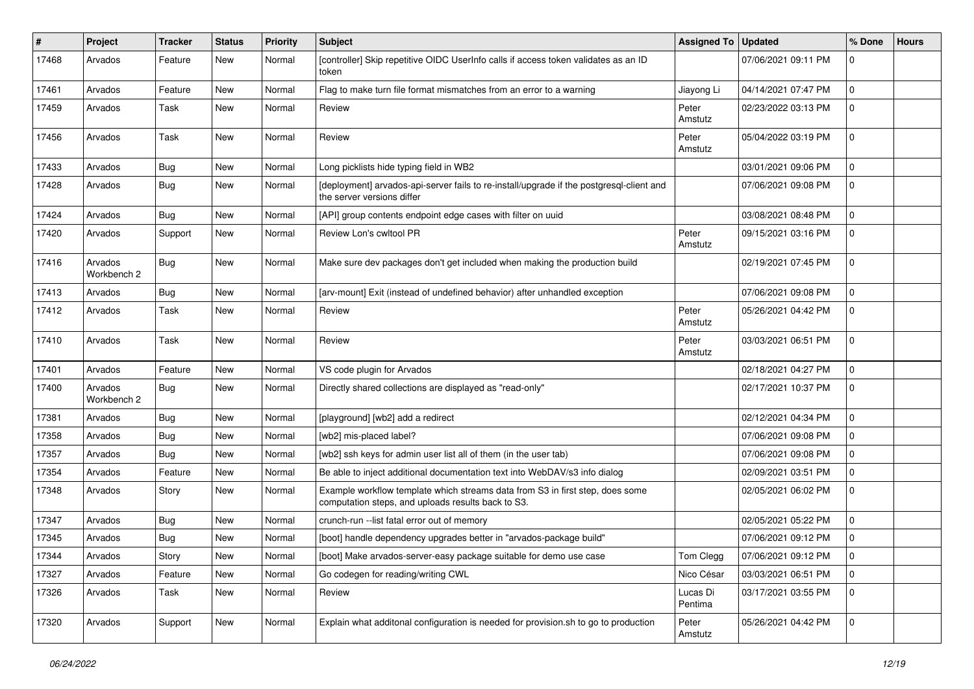| #     | Project                | Tracker    | <b>Status</b> | Priority | <b>Subject</b>                                                                                                                      | <b>Assigned To</b>  | <b>Updated</b>      | % Done         | <b>Hours</b> |
|-------|------------------------|------------|---------------|----------|-------------------------------------------------------------------------------------------------------------------------------------|---------------------|---------------------|----------------|--------------|
| 17468 | Arvados                | Feature    | New           | Normal   | [controller] Skip repetitive OIDC UserInfo calls if access token validates as an ID<br>token                                        |                     | 07/06/2021 09:11 PM | 0              |              |
| 17461 | Arvados                | Feature    | <b>New</b>    | Normal   | Flag to make turn file format mismatches from an error to a warning                                                                 | Jiayong Li          | 04/14/2021 07:47 PM | $\mathbf 0$    |              |
| 17459 | Arvados                | Task       | New           | Normal   | Review                                                                                                                              | Peter<br>Amstutz    | 02/23/2022 03:13 PM | $\mathbf 0$    |              |
| 17456 | Arvados                | Task       | <b>New</b>    | Normal   | Review                                                                                                                              | Peter<br>Amstutz    | 05/04/2022 03:19 PM | $\mathbf 0$    |              |
| 17433 | Arvados                | Bug        | <b>New</b>    | Normal   | Long picklists hide typing field in WB2                                                                                             |                     | 03/01/2021 09:06 PM | $\mathbf 0$    |              |
| 17428 | Arvados                | Bug        | New           | Normal   | [deployment] arvados-api-server fails to re-install/upgrade if the postgresql-client and<br>the server versions differ              |                     | 07/06/2021 09:08 PM | $\mathbf 0$    |              |
| 17424 | Arvados                | Bug        | <b>New</b>    | Normal   | [API] group contents endpoint edge cases with filter on uuid                                                                        |                     | 03/08/2021 08:48 PM | $\mathbf 0$    |              |
| 17420 | Arvados                | Support    | New           | Normal   | Review Lon's cwltool PR                                                                                                             | Peter<br>Amstutz    | 09/15/2021 03:16 PM | $\mathbf 0$    |              |
| 17416 | Arvados<br>Workbench 2 | Bug        | <b>New</b>    | Normal   | Make sure dev packages don't get included when making the production build                                                          |                     | 02/19/2021 07:45 PM | $\mathbf 0$    |              |
| 17413 | Arvados                | Bug        | <b>New</b>    | Normal   | [arv-mount] Exit (instead of undefined behavior) after unhandled exception                                                          |                     | 07/06/2021 09:08 PM | $\mathbf 0$    |              |
| 17412 | Arvados                | Task       | New           | Normal   | Review                                                                                                                              | Peter<br>Amstutz    | 05/26/2021 04:42 PM | $\mathbf 0$    |              |
| 17410 | Arvados                | Task       | New           | Normal   | Review                                                                                                                              | Peter<br>Amstutz    | 03/03/2021 06:51 PM | $\mathbf 0$    |              |
| 17401 | Arvados                | Feature    | <b>New</b>    | Normal   | VS code plugin for Arvados                                                                                                          |                     | 02/18/2021 04:27 PM | $\overline{0}$ |              |
| 17400 | Arvados<br>Workbench 2 | Bug        | New           | Normal   | Directly shared collections are displayed as "read-only"                                                                            |                     | 02/17/2021 10:37 PM | $\mathbf 0$    |              |
| 17381 | Arvados                | Bug        | New           | Normal   | [playground] [wb2] add a redirect                                                                                                   |                     | 02/12/2021 04:34 PM | $\overline{0}$ |              |
| 17358 | Arvados                | <b>Bug</b> | <b>New</b>    | Normal   | [wb2] mis-placed label?                                                                                                             |                     | 07/06/2021 09:08 PM | $\mathbf 0$    |              |
| 17357 | Arvados                | Bug        | New           | Normal   | [wb2] ssh keys for admin user list all of them (in the user tab)                                                                    |                     | 07/06/2021 09:08 PM | $\mathbf 0$    |              |
| 17354 | Arvados                | Feature    | <b>New</b>    | Normal   | Be able to inject additional documentation text into WebDAV/s3 info dialog                                                          |                     | 02/09/2021 03:51 PM | $\mathbf 0$    |              |
| 17348 | Arvados                | Story      | New           | Normal   | Example workflow template which streams data from S3 in first step, does some<br>computation steps, and uploads results back to S3. |                     | 02/05/2021 06:02 PM | $\mathbf 0$    |              |
| 17347 | Arvados                | Bug        | New           | Normal   | crunch-run -- list fatal error out of memory                                                                                        |                     | 02/05/2021 05:22 PM | $\mathbf 0$    |              |
| 17345 | Arvados                | <b>Bug</b> | New           | Normal   | [boot] handle dependency upgrades better in "arvados-package build"                                                                 |                     | 07/06/2021 09:12 PM | $\mathbf 0$    |              |
| 17344 | Arvados                | Story      | New           | Normal   | [boot] Make arvados-server-easy package suitable for demo use case                                                                  | Tom Clegg           | 07/06/2021 09:12 PM | l 0            |              |
| 17327 | Arvados                | Feature    | New           | Normal   | Go codegen for reading/writing CWL                                                                                                  | Nico César          | 03/03/2021 06:51 PM | $\mathbf 0$    |              |
| 17326 | Arvados                | Task       | New           | Normal   | Review                                                                                                                              | Lucas Di<br>Pentima | 03/17/2021 03:55 PM | 0              |              |
| 17320 | Arvados                | Support    | New           | Normal   | Explain what additonal configuration is needed for provision.sh to go to production                                                 | Peter<br>Amstutz    | 05/26/2021 04:42 PM | $\overline{0}$ |              |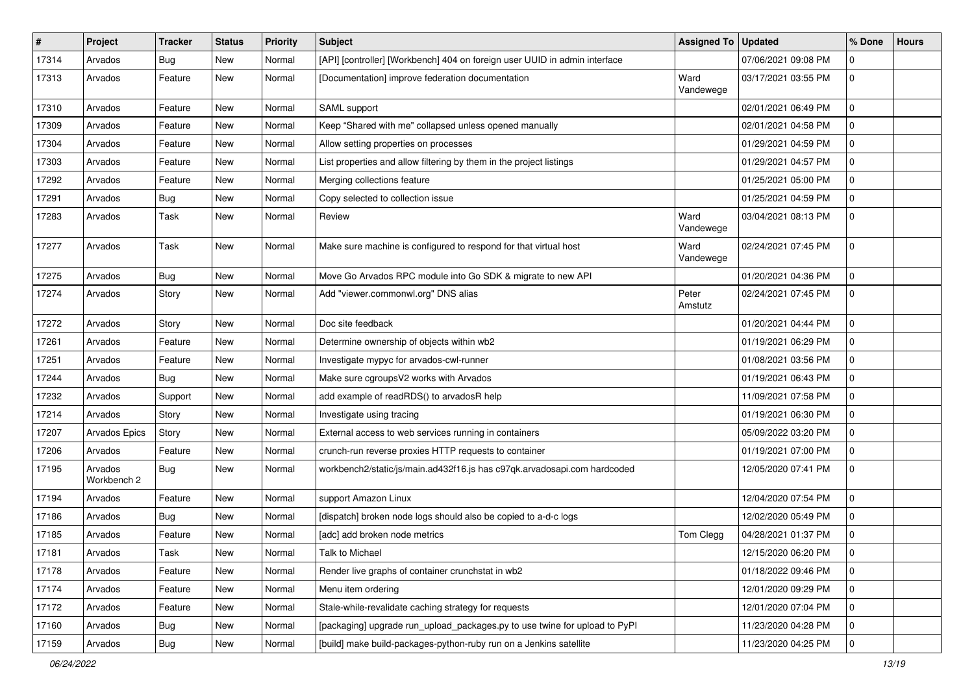| $\#$  | Project                | <b>Tracker</b> | <b>Status</b> | <b>Priority</b> | Subject                                                                    | <b>Assigned To</b> | <b>Updated</b>      | % Done         | <b>Hours</b> |
|-------|------------------------|----------------|---------------|-----------------|----------------------------------------------------------------------------|--------------------|---------------------|----------------|--------------|
| 17314 | Arvados                | <b>Bug</b>     | <b>New</b>    | Normal          | [API] [controller] [Workbench] 404 on foreign user UUID in admin interface |                    | 07/06/2021 09:08 PM | 0              |              |
| 17313 | Arvados                | Feature        | <b>New</b>    | Normal          | [Documentation] improve federation documentation                           | Ward<br>Vandewege  | 03/17/2021 03:55 PM | 0              |              |
| 17310 | Arvados                | Feature        | <b>New</b>    | Normal          | SAML support                                                               |                    | 02/01/2021 06:49 PM | $\mathbf 0$    |              |
| 17309 | Arvados                | Feature        | <b>New</b>    | Normal          | Keep "Shared with me" collapsed unless opened manually                     |                    | 02/01/2021 04:58 PM | $\overline{0}$ |              |
| 17304 | Arvados                | Feature        | <b>New</b>    | Normal          | Allow setting properties on processes                                      |                    | 01/29/2021 04:59 PM | $\mathbf 0$    |              |
| 17303 | Arvados                | Feature        | <b>New</b>    | Normal          | List properties and allow filtering by them in the project listings        |                    | 01/29/2021 04:57 PM | $\mathbf 0$    |              |
| 17292 | Arvados                | Feature        | New           | Normal          | Merging collections feature                                                |                    | 01/25/2021 05:00 PM | $\mathbf 0$    |              |
| 17291 | Arvados                | <b>Bug</b>     | <b>New</b>    | Normal          | Copy selected to collection issue                                          |                    | 01/25/2021 04:59 PM | $\mathbf 0$    |              |
| 17283 | Arvados                | Task           | <b>New</b>    | Normal          | Review                                                                     | Ward<br>Vandewege  | 03/04/2021 08:13 PM | $\overline{0}$ |              |
| 17277 | Arvados                | Task           | <b>New</b>    | Normal          | Make sure machine is configured to respond for that virtual host           | Ward<br>Vandewege  | 02/24/2021 07:45 PM | $\overline{0}$ |              |
| 17275 | Arvados                | Bug            | <b>New</b>    | Normal          | Move Go Arvados RPC module into Go SDK & migrate to new API                |                    | 01/20/2021 04:36 PM | $\mathbf 0$    |              |
| 17274 | Arvados                | Story          | <b>New</b>    | Normal          | Add "viewer.commonwl.org" DNS alias                                        | Peter<br>Amstutz   | 02/24/2021 07:45 PM | $\overline{0}$ |              |
| 17272 | Arvados                | Story          | <b>New</b>    | Normal          | Doc site feedback                                                          |                    | 01/20/2021 04:44 PM | $\mathbf 0$    |              |
| 17261 | Arvados                | Feature        | <b>New</b>    | Normal          | Determine ownership of objects within wb2                                  |                    | 01/19/2021 06:29 PM | $\mathbf 0$    |              |
| 17251 | Arvados                | Feature        | <b>New</b>    | Normal          | Investigate mypyc for arvados-cwl-runner                                   |                    | 01/08/2021 03:56 PM | $\mathbf 0$    |              |
| 17244 | Arvados                | <b>Bug</b>     | <b>New</b>    | Normal          | Make sure cgroupsV2 works with Arvados                                     |                    | 01/19/2021 06:43 PM | $\mathbf 0$    |              |
| 17232 | Arvados                | Support        | <b>New</b>    | Normal          | add example of readRDS() to arvadosR help                                  |                    | 11/09/2021 07:58 PM | $\mathbf 0$    |              |
| 17214 | Arvados                | Story          | <b>New</b>    | Normal          | Investigate using tracing                                                  |                    | 01/19/2021 06:30 PM | $\mathbf 0$    |              |
| 17207 | Arvados Epics          | Story          | <b>New</b>    | Normal          | External access to web services running in containers                      |                    | 05/09/2022 03:20 PM | $\mathbf 0$    |              |
| 17206 | Arvados                | Feature        | New           | Normal          | crunch-run reverse proxies HTTP requests to container                      |                    | 01/19/2021 07:00 PM | $\mathbf 0$    |              |
| 17195 | Arvados<br>Workbench 2 | <b>Bug</b>     | New           | Normal          | workbench2/static/js/main.ad432f16.js has c97qk.arvadosapi.com hardcoded   |                    | 12/05/2020 07:41 PM | $\mathbf 0$    |              |
| 17194 | Arvados                | Feature        | <b>New</b>    | Normal          | support Amazon Linux                                                       |                    | 12/04/2020 07:54 PM | $\mathbf 0$    |              |
| 17186 | Arvados                | <b>Bug</b>     | <b>New</b>    | Normal          | [dispatch] broken node logs should also be copied to a-d-c logs            |                    | 12/02/2020 05:49 PM | $\overline{0}$ |              |
| 17185 | Arvados                | Feature        | <b>New</b>    | Normal          | [adc] add broken node metrics                                              | Tom Clegg          | 04/28/2021 01:37 PM | $\overline{0}$ |              |
| 17181 | Arvados                | Task           | New           | Normal          | Talk to Michael                                                            |                    | 12/15/2020 06:20 PM | 0              |              |
| 17178 | Arvados                | Feature        | <b>New</b>    | Normal          | Render live graphs of container crunchstat in wb2                          |                    | 01/18/2022 09:46 PM | $\overline{0}$ |              |
| 17174 | Arvados                | Feature        | New           | Normal          | Menu item ordering                                                         |                    | 12/01/2020 09:29 PM | $\overline{0}$ |              |
| 17172 | Arvados                | Feature        | New           | Normal          | Stale-while-revalidate caching strategy for requests                       |                    | 12/01/2020 07:04 PM | $\overline{0}$ |              |
| 17160 | Arvados                | <b>Bug</b>     | New           | Normal          | [packaging] upgrade run_upload_packages.py to use twine for upload to PyPI |                    | 11/23/2020 04:28 PM | $\overline{0}$ |              |
| 17159 | Arvados                | Bug            | New           | Normal          | [build] make build-packages-python-ruby run on a Jenkins satellite         |                    | 11/23/2020 04:25 PM | $\overline{0}$ |              |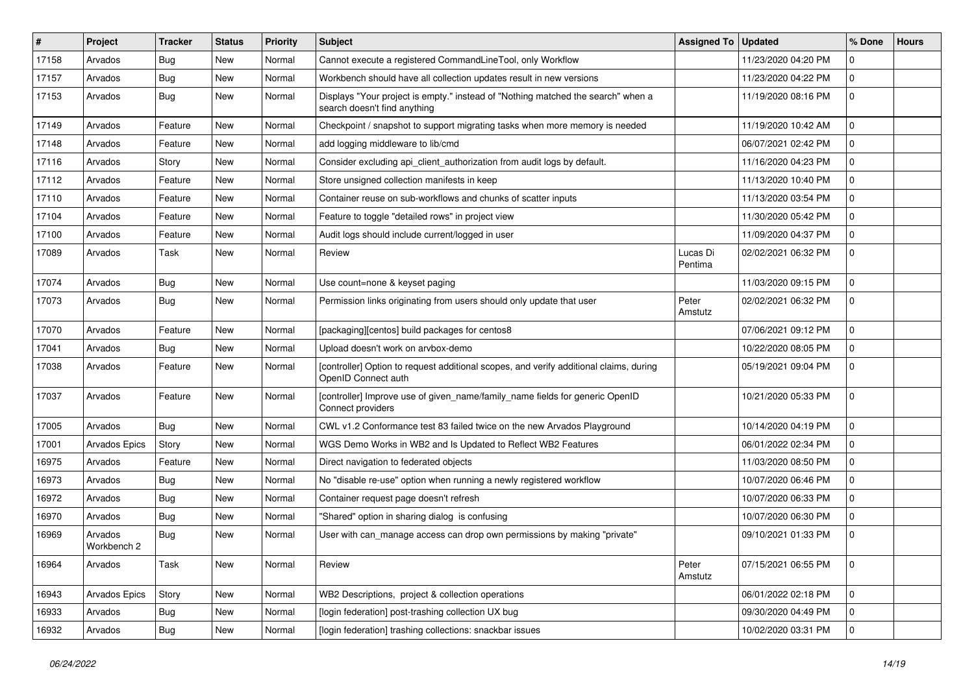| #     | Project                | Tracker    | <b>Status</b> | Priority | <b>Subject</b>                                                                                                   | <b>Assigned To</b>  | <b>Updated</b>      | % Done         | <b>Hours</b> |
|-------|------------------------|------------|---------------|----------|------------------------------------------------------------------------------------------------------------------|---------------------|---------------------|----------------|--------------|
| 17158 | Arvados                | <b>Bug</b> | New           | Normal   | Cannot execute a registered CommandLineTool, only Workflow                                                       |                     | 11/23/2020 04:20 PM | $\Omega$       |              |
| 17157 | Arvados                | Bug        | <b>New</b>    | Normal   | Workbench should have all collection updates result in new versions                                              |                     | 11/23/2020 04:22 PM | $\mathbf 0$    |              |
| 17153 | Arvados                | Bug        | New           | Normal   | Displays "Your project is empty." instead of "Nothing matched the search" when a<br>search doesn't find anything |                     | 11/19/2020 08:16 PM | $\mathbf 0$    |              |
| 17149 | Arvados                | Feature    | <b>New</b>    | Normal   | Checkpoint / snapshot to support migrating tasks when more memory is needed                                      |                     | 11/19/2020 10:42 AM | 0              |              |
| 17148 | Arvados                | Feature    | New           | Normal   | add logging middleware to lib/cmd                                                                                |                     | 06/07/2021 02:42 PM | $\mathbf 0$    |              |
| 17116 | Arvados                | Story      | New           | Normal   | Consider excluding api_client_authorization from audit logs by default.                                          |                     | 11/16/2020 04:23 PM | $\mathbf 0$    |              |
| 17112 | Arvados                | Feature    | New           | Normal   | Store unsigned collection manifests in keep                                                                      |                     | 11/13/2020 10:40 PM | $\overline{0}$ |              |
| 17110 | Arvados                | Feature    | New           | Normal   | Container reuse on sub-workflows and chunks of scatter inputs                                                    |                     | 11/13/2020 03:54 PM | $\mathbf 0$    |              |
| 17104 | Arvados                | Feature    | New           | Normal   | Feature to toggle "detailed rows" in project view                                                                |                     | 11/30/2020 05:42 PM | 0              |              |
| 17100 | Arvados                | Feature    | New           | Normal   | Audit logs should include current/logged in user                                                                 |                     | 11/09/2020 04:37 PM | $\mathbf 0$    |              |
| 17089 | Arvados                | Task       | New           | Normal   | Review                                                                                                           | Lucas Di<br>Pentima | 02/02/2021 06:32 PM | $\mathbf 0$    |              |
| 17074 | Arvados                | Bug        | New           | Normal   | Use count=none & keyset paging                                                                                   |                     | 11/03/2020 09:15 PM | $\mathbf 0$    |              |
| 17073 | Arvados                | Bug        | New           | Normal   | Permission links originating from users should only update that user                                             | Peter<br>Amstutz    | 02/02/2021 06:32 PM | $\mathbf 0$    |              |
| 17070 | Arvados                | Feature    | New           | Normal   | [packaging][centos] build packages for centos8                                                                   |                     | 07/06/2021 09:12 PM | $\Omega$       |              |
| 17041 | Arvados                | Bug        | New           | Normal   | Upload doesn't work on arvbox-demo                                                                               |                     | 10/22/2020 08:05 PM | 0              |              |
| 17038 | Arvados                | Feature    | New           | Normal   | [controller] Option to request additional scopes, and verify additional claims, during<br>OpenID Connect auth    |                     | 05/19/2021 09:04 PM | $\mathbf 0$    |              |
| 17037 | Arvados                | Feature    | New           | Normal   | [controller] Improve use of given_name/family_name fields for generic OpenID<br>Connect providers                |                     | 10/21/2020 05:33 PM | $\overline{0}$ |              |
| 17005 | Arvados                | Bug        | New           | Normal   | CWL v1.2 Conformance test 83 failed twice on the new Arvados Playground                                          |                     | 10/14/2020 04:19 PM | $\overline{0}$ |              |
| 17001 | Arvados Epics          | Story      | New           | Normal   | WGS Demo Works in WB2 and Is Updated to Reflect WB2 Features                                                     |                     | 06/01/2022 02:34 PM | 0              |              |
| 16975 | Arvados                | Feature    | New           | Normal   | Direct navigation to federated objects                                                                           |                     | 11/03/2020 08:50 PM | $\mathbf 0$    |              |
| 16973 | Arvados                | Bug        | New           | Normal   | No "disable re-use" option when running a newly registered workflow                                              |                     | 10/07/2020 06:46 PM | 0              |              |
| 16972 | Arvados                | <b>Bug</b> | New           | Normal   | Container request page doesn't refresh                                                                           |                     | 10/07/2020 06:33 PM | $\mathbf 0$    |              |
| 16970 | Arvados                | Bug        | New           | Normal   | "Shared" option in sharing dialog is confusing                                                                   |                     | 10/07/2020 06:30 PM | $\mathbf 0$    |              |
| 16969 | Arvados<br>Workbench 2 | Bug        | New           | Normal   | User with can_manage access can drop own permissions by making "private"                                         |                     | 09/10/2021 01:33 PM | $\mathbf 0$    |              |
| 16964 | Arvados                | Task       | New           | Normal   | Review                                                                                                           | Peter<br>Amstutz    | 07/15/2021 06:55 PM | l 0            |              |
| 16943 | Arvados Epics          | Story      | New           | Normal   | WB2 Descriptions, project & collection operations                                                                |                     | 06/01/2022 02:18 PM | $\overline{0}$ |              |
| 16933 | Arvados                | <b>Bug</b> | New           | Normal   | [login federation] post-trashing collection UX bug                                                               |                     | 09/30/2020 04:49 PM | $\overline{0}$ |              |
| 16932 | Arvados                | <b>Bug</b> | New           | Normal   | [login federation] trashing collections: snackbar issues                                                         |                     | 10/02/2020 03:31 PM | $\overline{0}$ |              |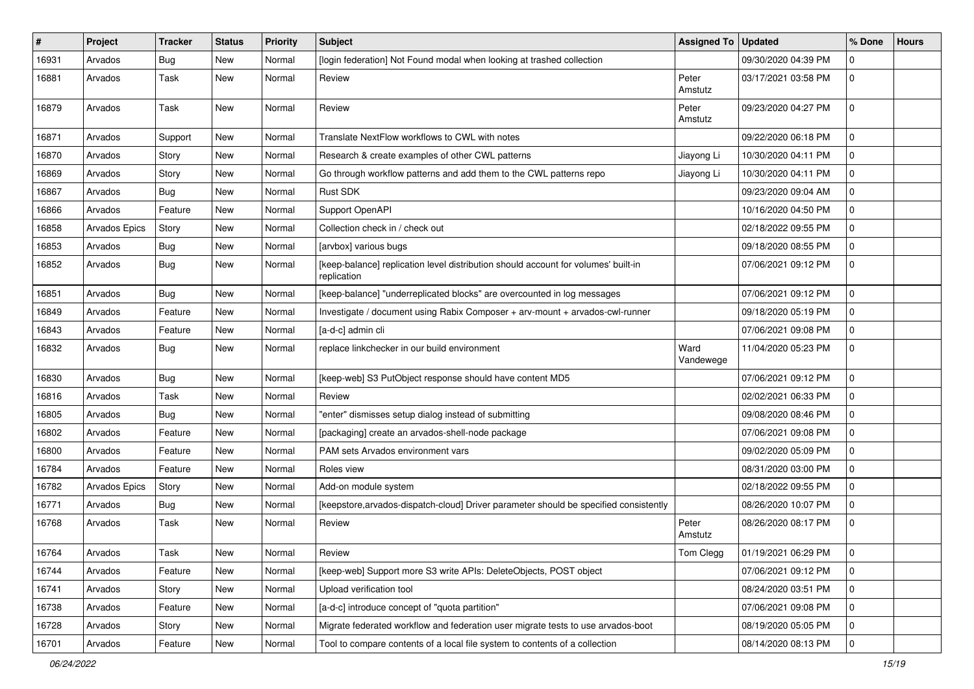| ∦     | Project       | <b>Tracker</b> | <b>Status</b> | <b>Priority</b> | <b>Subject</b>                                                                                    | <b>Assigned To</b> | <b>Updated</b>      | % Done      | <b>Hours</b> |
|-------|---------------|----------------|---------------|-----------------|---------------------------------------------------------------------------------------------------|--------------------|---------------------|-------------|--------------|
| 16931 | Arvados       | <b>Bug</b>     | <b>New</b>    | Normal          | [login federation] Not Found modal when looking at trashed collection                             |                    | 09/30/2020 04:39 PM | 0           |              |
| 16881 | Arvados       | Task           | <b>New</b>    | Normal          | Review                                                                                            | Peter<br>Amstutz   | 03/17/2021 03:58 PM | $\mathbf 0$ |              |
| 16879 | Arvados       | Task           | <b>New</b>    | Normal          | Review                                                                                            | Peter<br>Amstutz   | 09/23/2020 04:27 PM | $\mathbf 0$ |              |
| 16871 | Arvados       | Support        | <b>New</b>    | Normal          | Translate NextFlow workflows to CWL with notes                                                    |                    | 09/22/2020 06:18 PM | $\mathbf 0$ |              |
| 16870 | Arvados       | Story          | New           | Normal          | Research & create examples of other CWL patterns                                                  | Jiayong Li         | 10/30/2020 04:11 PM | $\mathbf 0$ |              |
| 16869 | Arvados       | Story          | New           | Normal          | Go through workflow patterns and add them to the CWL patterns repo                                | Jiayong Li         | 10/30/2020 04:11 PM | $\mathbf 0$ |              |
| 16867 | Arvados       | <b>Bug</b>     | <b>New</b>    | Normal          | Rust SDK                                                                                          |                    | 09/23/2020 09:04 AM | $\mathbf 0$ |              |
| 16866 | Arvados       | Feature        | <b>New</b>    | Normal          | Support OpenAPI                                                                                   |                    | 10/16/2020 04:50 PM | $\mathbf 0$ |              |
| 16858 | Arvados Epics | Story          | <b>New</b>    | Normal          | Collection check in / check out                                                                   |                    | 02/18/2022 09:55 PM | $\mathbf 0$ |              |
| 16853 | Arvados       | Bug            | New           | Normal          | [arvbox] various bugs                                                                             |                    | 09/18/2020 08:55 PM | $\mathbf 0$ |              |
| 16852 | Arvados       | Bug            | <b>New</b>    | Normal          | [keep-balance] replication level distribution should account for volumes' built-in<br>replication |                    | 07/06/2021 09:12 PM | $\mathbf 0$ |              |
| 16851 | Arvados       | Bug            | <b>New</b>    | Normal          | [keep-balance] "underreplicated blocks" are overcounted in log messages                           |                    | 07/06/2021 09:12 PM | $\mathbf 0$ |              |
| 16849 | Arvados       | Feature        | New           | Normal          | Investigate / document using Rabix Composer + arv-mount + arvados-cwl-runner                      |                    | 09/18/2020 05:19 PM | $\mathbf 0$ |              |
| 16843 | Arvados       | Feature        | <b>New</b>    | Normal          | [a-d-c] admin cli                                                                                 |                    | 07/06/2021 09:08 PM | $\mathbf 0$ |              |
| 16832 | Arvados       | Bug            | <b>New</b>    | Normal          | replace linkchecker in our build environment                                                      | Ward<br>Vandewege  | 11/04/2020 05:23 PM | $\mathbf 0$ |              |
| 16830 | Arvados       | Bug            | <b>New</b>    | Normal          | [keep-web] S3 PutObject response should have content MD5                                          |                    | 07/06/2021 09:12 PM | $\mathbf 0$ |              |
| 16816 | Arvados       | Task           | <b>New</b>    | Normal          | Review                                                                                            |                    | 02/02/2021 06:33 PM | $\mathbf 0$ |              |
| 16805 | Arvados       | <b>Bug</b>     | <b>New</b>    | Normal          | "enter" dismisses setup dialog instead of submitting                                              |                    | 09/08/2020 08:46 PM | $\mathbf 0$ |              |
| 16802 | Arvados       | Feature        | <b>New</b>    | Normal          | [packaging] create an arvados-shell-node package                                                  |                    | 07/06/2021 09:08 PM | $\mathbf 0$ |              |
| 16800 | Arvados       | Feature        | New           | Normal          | PAM sets Arvados environment vars                                                                 |                    | 09/02/2020 05:09 PM | $\mathbf 0$ |              |
| 16784 | Arvados       | Feature        | <b>New</b>    | Normal          | Roles view                                                                                        |                    | 08/31/2020 03:00 PM | $\mathbf 0$ |              |
| 16782 | Arvados Epics | Story          | <b>New</b>    | Normal          | Add-on module system                                                                              |                    | 02/18/2022 09:55 PM | $\mathbf 0$ |              |
| 16771 | Arvados       | Bug            | <b>New</b>    | Normal          | [keepstore, arvados-dispatch-cloud] Driver parameter should be specified consistently             |                    | 08/26/2020 10:07 PM | 0           |              |
| 16768 | Arvados       | Task           | New           | Normal          | Review                                                                                            | Peter<br>Amstutz   | 08/26/2020 08:17 PM | $\mathbf 0$ |              |
| 16764 | Arvados       | Task           | New           | Normal          | Review                                                                                            | Tom Clegg          | 01/19/2021 06:29 PM | l o         |              |
| 16744 | Arvados       | Feature        | <b>New</b>    | Normal          | [keep-web] Support more S3 write APIs: DeleteObjects, POST object                                 |                    | 07/06/2021 09:12 PM | $\mathbf 0$ |              |
| 16741 | Arvados       | Story          | <b>New</b>    | Normal          | Upload verification tool                                                                          |                    | 08/24/2020 03:51 PM | $\mathbf 0$ |              |
| 16738 | Arvados       | Feature        | <b>New</b>    | Normal          | [a-d-c] introduce concept of "quota partition"                                                    |                    | 07/06/2021 09:08 PM | $\mathbf 0$ |              |
| 16728 | Arvados       | Story          | New           | Normal          | Migrate federated workflow and federation user migrate tests to use arvados-boot                  |                    | 08/19/2020 05:05 PM | $\mathbf 0$ |              |
| 16701 | Arvados       | Feature        | New           | Normal          | Tool to compare contents of a local file system to contents of a collection                       |                    | 08/14/2020 08:13 PM | $\mathbf 0$ |              |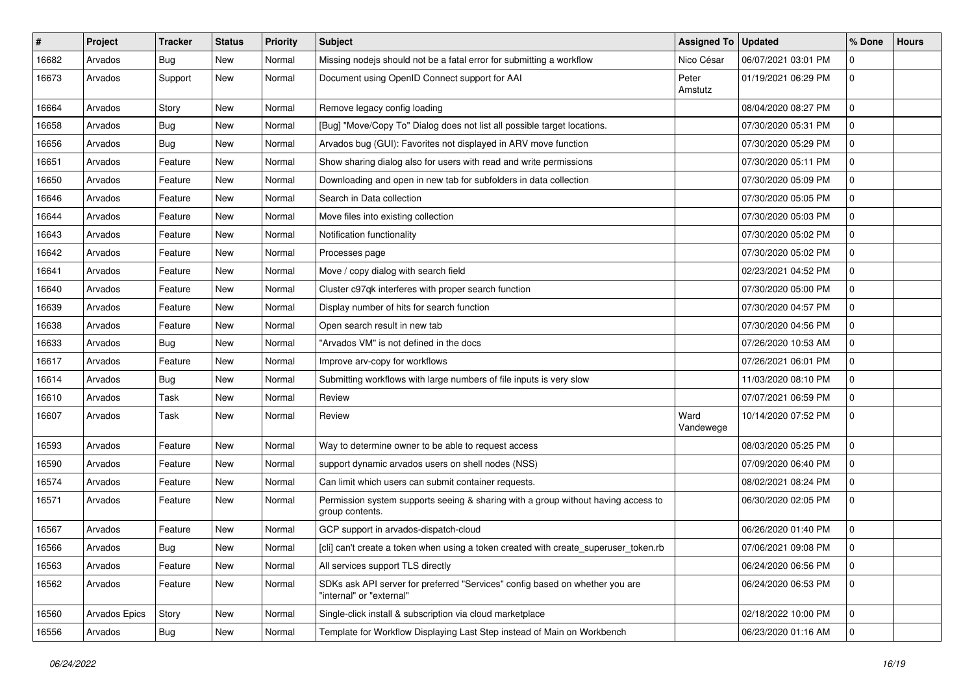| $\vert$ # | Project       | <b>Tracker</b> | <b>Status</b> | <b>Priority</b> | <b>Subject</b>                                                                                           | <b>Assigned To</b> | <b>Updated</b>      | % Done      | <b>Hours</b> |
|-----------|---------------|----------------|---------------|-----------------|----------------------------------------------------------------------------------------------------------|--------------------|---------------------|-------------|--------------|
| 16682     | Arvados       | <b>Bug</b>     | <b>New</b>    | Normal          | Missing nodejs should not be a fatal error for submitting a workflow                                     | Nico César         | 06/07/2021 03:01 PM | $\mathbf 0$ |              |
| 16673     | Arvados       | Support        | <b>New</b>    | Normal          | Document using OpenID Connect support for AAI                                                            | Peter<br>Amstutz   | 01/19/2021 06:29 PM | $\mathbf 0$ |              |
| 16664     | Arvados       | Story          | <b>New</b>    | Normal          | Remove legacy config loading                                                                             |                    | 08/04/2020 08:27 PM | $\mathbf 0$ |              |
| 16658     | Arvados       | Bug            | <b>New</b>    | Normal          | [Bug] "Move/Copy To" Dialog does not list all possible target locations.                                 |                    | 07/30/2020 05:31 PM | $\mathbf 0$ |              |
| 16656     | Arvados       | <b>Bug</b>     | <b>New</b>    | Normal          | Arvados bug (GUI): Favorites not displayed in ARV move function                                          |                    | 07/30/2020 05:29 PM | 0           |              |
| 16651     | Arvados       | Feature        | <b>New</b>    | Normal          | Show sharing dialog also for users with read and write permissions                                       |                    | 07/30/2020 05:11 PM | $\mathbf 0$ |              |
| 16650     | Arvados       | Feature        | New           | Normal          | Downloading and open in new tab for subfolders in data collection                                        |                    | 07/30/2020 05:09 PM | $\mathbf 0$ |              |
| 16646     | Arvados       | Feature        | New           | Normal          | Search in Data collection                                                                                |                    | 07/30/2020 05:05 PM | $\mathbf 0$ |              |
| 16644     | Arvados       | Feature        | <b>New</b>    | Normal          | Move files into existing collection                                                                      |                    | 07/30/2020 05:03 PM | $\mathbf 0$ |              |
| 16643     | Arvados       | Feature        | <b>New</b>    | Normal          | Notification functionality                                                                               |                    | 07/30/2020 05:02 PM | 0           |              |
| 16642     | Arvados       | Feature        | New           | Normal          | Processes page                                                                                           |                    | 07/30/2020 05:02 PM | $\mathbf 0$ |              |
| 16641     | Arvados       | Feature        | New           | Normal          | Move / copy dialog with search field                                                                     |                    | 02/23/2021 04:52 PM | $\mathbf 0$ |              |
| 16640     | Arvados       | Feature        | New           | Normal          | Cluster c97qk interferes with proper search function                                                     |                    | 07/30/2020 05:00 PM | $\mathbf 0$ |              |
| 16639     | Arvados       | Feature        | <b>New</b>    | Normal          | Display number of hits for search function                                                               |                    | 07/30/2020 04:57 PM | $\mathbf 0$ |              |
| 16638     | Arvados       | Feature        | <b>New</b>    | Normal          | Open search result in new tab                                                                            |                    | 07/30/2020 04:56 PM | $\mathbf 0$ |              |
| 16633     | Arvados       | Bug            | <b>New</b>    | Normal          | "Arvados VM" is not defined in the docs                                                                  |                    | 07/26/2020 10:53 AM | $\mathbf 0$ |              |
| 16617     | Arvados       | Feature        | <b>New</b>    | Normal          | Improve arv-copy for workflows                                                                           |                    | 07/26/2021 06:01 PM | $\mathbf 0$ |              |
| 16614     | Arvados       | Bug            | <b>New</b>    | Normal          | Submitting workflows with large numbers of file inputs is very slow                                      |                    | 11/03/2020 08:10 PM | 0           |              |
| 16610     | Arvados       | Task           | <b>New</b>    | Normal          | Review                                                                                                   |                    | 07/07/2021 06:59 PM | $\mathbf 0$ |              |
| 16607     | Arvados       | Task           | <b>New</b>    | Normal          | Review                                                                                                   | Ward<br>Vandewege  | 10/14/2020 07:52 PM | $\mathbf 0$ |              |
| 16593     | Arvados       | Feature        | <b>New</b>    | Normal          | Way to determine owner to be able to request access                                                      |                    | 08/03/2020 05:25 PM | $\mathbf 0$ |              |
| 16590     | Arvados       | Feature        | <b>New</b>    | Normal          | support dynamic arvados users on shell nodes (NSS)                                                       |                    | 07/09/2020 06:40 PM | $\mathbf 0$ |              |
| 16574     | Arvados       | Feature        | New           | Normal          | Can limit which users can submit container requests.                                                     |                    | 08/02/2021 08:24 PM | $\mathbf 0$ |              |
| 16571     | Arvados       | Feature        | New           | Normal          | Permission system supports seeing & sharing with a group without having access to<br>group contents.     |                    | 06/30/2020 02:05 PM | $\mathbf 0$ |              |
| 16567     | Arvados       | Feature        | New           | Normal          | GCP support in arvados-dispatch-cloud                                                                    |                    | 06/26/2020 01:40 PM | $\mathbf 0$ |              |
| 16566     | Arvados       | Bug            | <b>New</b>    | Normal          | [cli] can't create a token when using a token created with create_superuser_token.rb                     |                    | 07/06/2021 09:08 PM | $\mathbf 0$ |              |
| 16563     | Arvados       | Feature        | New           | Normal          | All services support TLS directly                                                                        |                    | 06/24/2020 06:56 PM | $\mathbf 0$ |              |
| 16562     | Arvados       | Feature        | New           | Normal          | SDKs ask API server for preferred "Services" config based on whether you are<br>"internal" or "external" |                    | 06/24/2020 06:53 PM | $\mathbf 0$ |              |
| 16560     | Arvados Epics | Story          | <b>New</b>    | Normal          | Single-click install & subscription via cloud marketplace                                                |                    | 02/18/2022 10:00 PM | $\mathbf 0$ |              |
| 16556     | Arvados       | Bug            | New           | Normal          | Template for Workflow Displaying Last Step instead of Main on Workbench                                  |                    | 06/23/2020 01:16 AM | $\mathbf 0$ |              |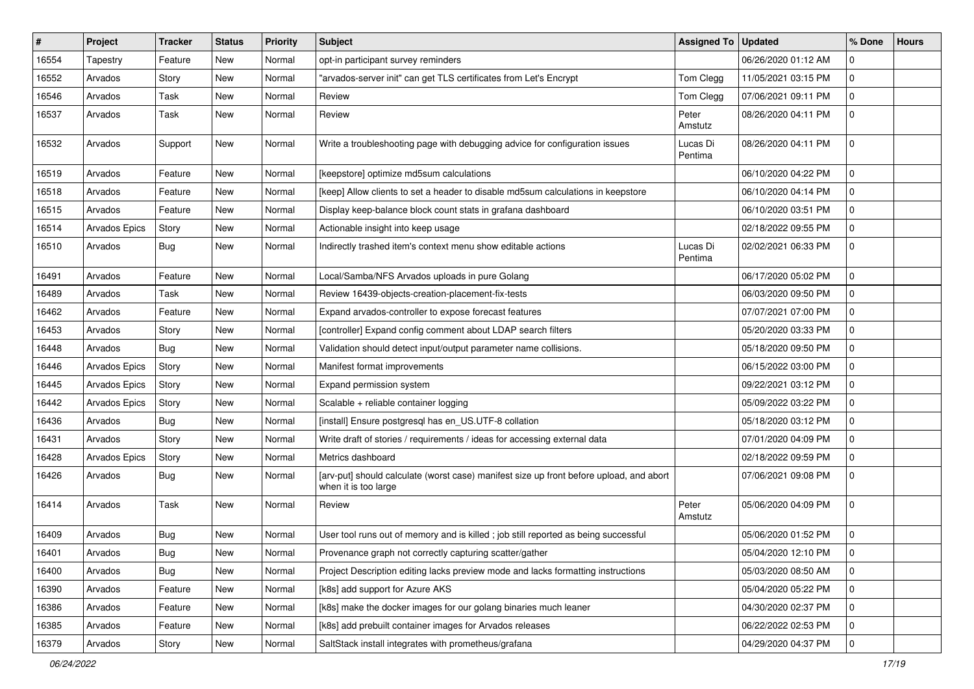| #     | <b>Project</b>       | Tracker    | <b>Status</b> | Priority | <b>Subject</b>                                                                                                  | <b>Assigned To</b>  | <b>Updated</b>      | % Done         | <b>Hours</b> |
|-------|----------------------|------------|---------------|----------|-----------------------------------------------------------------------------------------------------------------|---------------------|---------------------|----------------|--------------|
| 16554 | Tapestry             | Feature    | New           | Normal   | opt-in participant survey reminders                                                                             |                     | 06/26/2020 01:12 AM | 0              |              |
| 16552 | Arvados              | Story      | New           | Normal   | "arvados-server init" can get TLS certificates from Let's Encrypt                                               | Tom Clegg           | 11/05/2021 03:15 PM | $\mathbf 0$    |              |
| 16546 | Arvados              | Task       | New           | Normal   | Review                                                                                                          | Tom Clegg           | 07/06/2021 09:11 PM | $\mathbf 0$    |              |
| 16537 | Arvados              | Task       | New           | Normal   | Review                                                                                                          | Peter<br>Amstutz    | 08/26/2020 04:11 PM | $\mathbf 0$    |              |
| 16532 | Arvados              | Support    | New           | Normal   | Write a troubleshooting page with debugging advice for configuration issues                                     | Lucas Di<br>Pentima | 08/26/2020 04:11 PM | 0              |              |
| 16519 | Arvados              | Feature    | New           | Normal   | [keepstore] optimize md5sum calculations                                                                        |                     | 06/10/2020 04:22 PM | $\mathbf 0$    |              |
| 16518 | Arvados              | Feature    | New           | Normal   | [keep] Allow clients to set a header to disable md5sum calculations in keepstore                                |                     | 06/10/2020 04:14 PM | $\Omega$       |              |
| 16515 | Arvados              | Feature    | <b>New</b>    | Normal   | Display keep-balance block count stats in grafana dashboard                                                     |                     | 06/10/2020 03:51 PM | $\mathbf 0$    |              |
| 16514 | Arvados Epics        | Story      | New           | Normal   | Actionable insight into keep usage                                                                              |                     | 02/18/2022 09:55 PM | $\mathbf 0$    |              |
| 16510 | Arvados              | Bug        | New           | Normal   | Indirectly trashed item's context menu show editable actions                                                    | Lucas Di<br>Pentima | 02/02/2021 06:33 PM | $\mathbf 0$    |              |
| 16491 | Arvados              | Feature    | New           | Normal   | Local/Samba/NFS Arvados uploads in pure Golang                                                                  |                     | 06/17/2020 05:02 PM | 0              |              |
| 16489 | Arvados              | Task       | New           | Normal   | Review 16439-objects-creation-placement-fix-tests                                                               |                     | 06/03/2020 09:50 PM | $\mathbf 0$    |              |
| 16462 | Arvados              | Feature    | New           | Normal   | Expand arvados-controller to expose forecast features                                                           |                     | 07/07/2021 07:00 PM | $\mathbf 0$    |              |
| 16453 | Arvados              | Story      | New           | Normal   | [controller] Expand config comment about LDAP search filters                                                    |                     | 05/20/2020 03:33 PM | $\mathbf 0$    |              |
| 16448 | Arvados              | Bug        | <b>New</b>    | Normal   | Validation should detect input/output parameter name collisions.                                                |                     | 05/18/2020 09:50 PM | 0              |              |
| 16446 | <b>Arvados Epics</b> | Story      | New           | Normal   | Manifest format improvements                                                                                    |                     | 06/15/2022 03:00 PM | $\mathbf 0$    |              |
| 16445 | <b>Arvados Epics</b> | Story      | New           | Normal   | Expand permission system                                                                                        |                     | 09/22/2021 03:12 PM | $\mathbf 0$    |              |
| 16442 | <b>Arvados Epics</b> | Story      | New           | Normal   | Scalable + reliable container logging                                                                           |                     | 05/09/2022 03:22 PM | 0              |              |
| 16436 | Arvados              | Bug        | <b>New</b>    | Normal   | [install] Ensure postgresql has en_US.UTF-8 collation                                                           |                     | 05/18/2020 03:12 PM | $\mathbf 0$    |              |
| 16431 | Arvados              | Story      | <b>New</b>    | Normal   | Write draft of stories / requirements / ideas for accessing external data                                       |                     | 07/01/2020 04:09 PM | $\mathbf 0$    |              |
| 16428 | Arvados Epics        | Story      | New           | Normal   | Metrics dashboard                                                                                               |                     | 02/18/2022 09:59 PM | $\mathbf 0$    |              |
| 16426 | Arvados              | <b>Bug</b> | New           | Normal   | [arv-put] should calculate (worst case) manifest size up front before upload, and abort<br>when it is too large |                     | 07/06/2021 09:08 PM | $\mathbf 0$    |              |
| 16414 | Arvados              | Task       | New           | Normal   | Review                                                                                                          | Peter<br>Amstutz    | 05/06/2020 04:09 PM | $\mathbf 0$    |              |
| 16409 | Arvados              | Bug        | New           | Normal   | User tool runs out of memory and is killed ; job still reported as being successful                             |                     | 05/06/2020 01:52 PM | $\mathbf 0$    |              |
| 16401 | Arvados              | <b>Bug</b> | New           | Normal   | Provenance graph not correctly capturing scatter/gather                                                         |                     | 05/04/2020 12:10 PM | $\overline{0}$ |              |
| 16400 | Arvados              | <b>Bug</b> | New           | Normal   | Project Description editing lacks preview mode and lacks formatting instructions                                |                     | 05/03/2020 08:50 AM | $\mathbf 0$    |              |
| 16390 | Arvados              | Feature    | New           | Normal   | [k8s] add support for Azure AKS                                                                                 |                     | 05/04/2020 05:22 PM | $\mathbf 0$    |              |
| 16386 | Arvados              | Feature    | New           | Normal   | [k8s] make the docker images for our golang binaries much leaner                                                |                     | 04/30/2020 02:37 PM | $\mathbf 0$    |              |
| 16385 | Arvados              | Feature    | New           | Normal   | [k8s] add prebuilt container images for Arvados releases                                                        |                     | 06/22/2022 02:53 PM | $\mathbf 0$    |              |
| 16379 | Arvados              | Story      | New           | Normal   | SaltStack install integrates with prometheus/grafana                                                            |                     | 04/29/2020 04:37 PM | $\mathbf 0$    |              |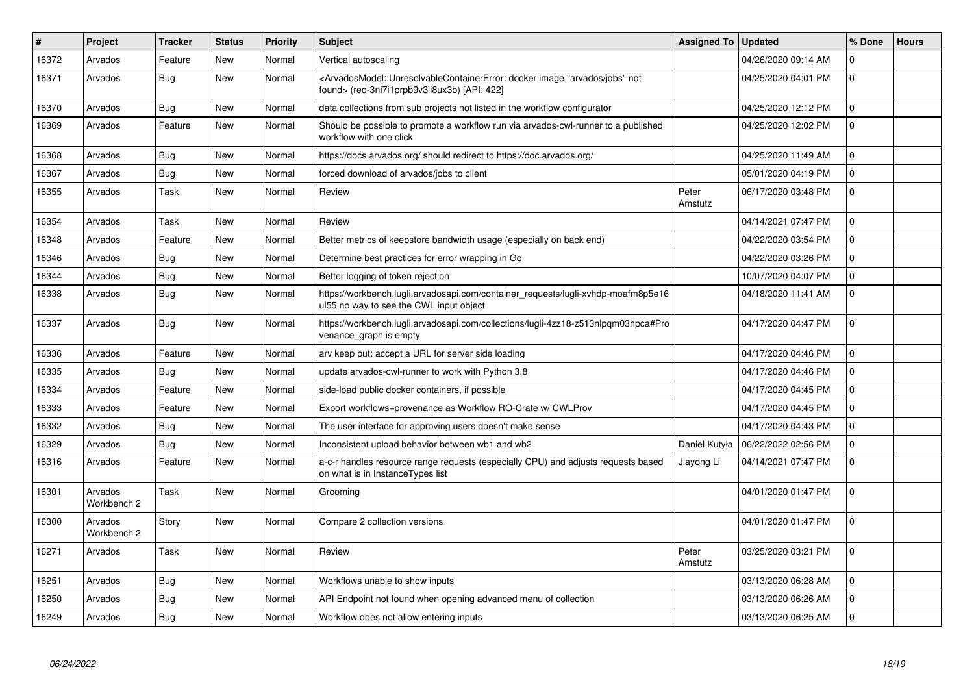| $\vert$ # | Project                | <b>Tracker</b> | <b>Status</b> | <b>Priority</b> | <b>Subject</b>                                                                                                                                                                           | <b>Assigned To</b> | <b>Updated</b>      | % Done       | <b>Hours</b> |
|-----------|------------------------|----------------|---------------|-----------------|------------------------------------------------------------------------------------------------------------------------------------------------------------------------------------------|--------------------|---------------------|--------------|--------------|
| 16372     | Arvados                | Feature        | <b>New</b>    | Normal          | Vertical autoscaling                                                                                                                                                                     |                    | 04/26/2020 09:14 AM | $\mathbf 0$  |              |
| 16371     | Arvados                | Bug            | <b>New</b>    | Normal          | <arvadosmodel::unresolvablecontainererror: "arvados="" docker="" image="" jobs"="" not<br="">found&gt; (req-3ni7i1prpb9v3ii8ux3b) [API: 422]</arvadosmodel::unresolvablecontainererror:> |                    | 04/25/2020 04:01 PM | $\mathbf{0}$ |              |
| 16370     | Arvados                | Bug            | <b>New</b>    | Normal          | data collections from sub projects not listed in the workflow configurator                                                                                                               |                    | 04/25/2020 12:12 PM | $\mathbf 0$  |              |
| 16369     | Arvados                | Feature        | <b>New</b>    | Normal          | Should be possible to promote a workflow run via arvados-cwl-runner to a published<br>workflow with one click                                                                            |                    | 04/25/2020 12:02 PM | $\mathbf 0$  |              |
| 16368     | Arvados                | <b>Bug</b>     | <b>New</b>    | Normal          | https://docs.arvados.org/ should redirect to https://doc.arvados.org/                                                                                                                    |                    | 04/25/2020 11:49 AM | $\mathbf 0$  |              |
| 16367     | Arvados                | Bug            | <b>New</b>    | Normal          | forced download of arvados/jobs to client                                                                                                                                                |                    | 05/01/2020 04:19 PM | $\mathbf{0}$ |              |
| 16355     | Arvados                | Task           | <b>New</b>    | Normal          | Review                                                                                                                                                                                   | Peter<br>Amstutz   | 06/17/2020 03:48 PM | $\mathbf{0}$ |              |
| 16354     | Arvados                | Task           | <b>New</b>    | Normal          | Review                                                                                                                                                                                   |                    | 04/14/2021 07:47 PM | $\mathbf{0}$ |              |
| 16348     | Arvados                | Feature        | <b>New</b>    | Normal          | Better metrics of keepstore bandwidth usage (especially on back end)                                                                                                                     |                    | 04/22/2020 03:54 PM | $\mathbf{0}$ |              |
| 16346     | Arvados                | Bug            | <b>New</b>    | Normal          | Determine best practices for error wrapping in Go                                                                                                                                        |                    | 04/22/2020 03:26 PM | $\mathsf 0$  |              |
| 16344     | Arvados                | Bug            | <b>New</b>    | Normal          | Better logging of token rejection                                                                                                                                                        |                    | 10/07/2020 04:07 PM | $\mathsf 0$  |              |
| 16338     | Arvados                | <b>Bug</b>     | <b>New</b>    | Normal          | https://workbench.lugli.arvadosapi.com/container_requests/lugli-xvhdp-moafm8p5e16<br>ul55 no way to see the CWL input object                                                             |                    | 04/18/2020 11:41 AM | $\mathbf{0}$ |              |
| 16337     | Arvados                | <b>Bug</b>     | <b>New</b>    | Normal          | https://workbench.lugli.arvadosapi.com/collections/lugli-4zz18-z513nlpqm03hpca#Pro<br>venance_graph is empty                                                                             |                    | 04/17/2020 04:47 PM | $\mathbf 0$  |              |
| 16336     | Arvados                | Feature        | <b>New</b>    | Normal          | arv keep put: accept a URL for server side loading                                                                                                                                       |                    | 04/17/2020 04:46 PM | $\mathsf 0$  |              |
| 16335     | Arvados                | Bug            | <b>New</b>    | Normal          | update arvados-cwl-runner to work with Python 3.8                                                                                                                                        |                    | 04/17/2020 04:46 PM | $\mathbf{0}$ |              |
| 16334     | Arvados                | Feature        | <b>New</b>    | Normal          | side-load public docker containers, if possible                                                                                                                                          |                    | 04/17/2020 04:45 PM | $\mathbf{0}$ |              |
| 16333     | Arvados                | Feature        | <b>New</b>    | Normal          | Export workflows+provenance as Workflow RO-Crate w/ CWLProv                                                                                                                              |                    | 04/17/2020 04:45 PM | $\mathbf 0$  |              |
| 16332     | Arvados                | Bug            | <b>New</b>    | Normal          | The user interface for approving users doesn't make sense                                                                                                                                |                    | 04/17/2020 04:43 PM | $\mathbf 0$  |              |
| 16329     | Arvados                | Bug            | New           | Normal          | Inconsistent upload behavior between wb1 and wb2                                                                                                                                         | Daniel Kutyła      | 06/22/2022 02:56 PM | $\mathbf{0}$ |              |
| 16316     | Arvados                | Feature        | <b>New</b>    | Normal          | a-c-r handles resource range requests (especially CPU) and adjusts requests based<br>on what is in Instance Types list                                                                   | Jiayong Li         | 04/14/2021 07:47 PM | $\mathbf 0$  |              |
| 16301     | Arvados<br>Workbench 2 | Task           | <b>New</b>    | Normal          | Grooming                                                                                                                                                                                 |                    | 04/01/2020 01:47 PM | $\mathbf{0}$ |              |
| 16300     | Arvados<br>Workbench 2 | Story          | <b>New</b>    | Normal          | Compare 2 collection versions                                                                                                                                                            |                    | 04/01/2020 01:47 PM | $\mathbf{0}$ |              |
| 16271     | Arvados                | Task           | <b>New</b>    | Normal          | Review                                                                                                                                                                                   | Peter<br>Amstutz   | 03/25/2020 03:21 PM | $\mathbf 0$  |              |
| 16251     | Arvados                | Bug            | <b>New</b>    | Normal          | Workflows unable to show inputs                                                                                                                                                          |                    | 03/13/2020 06:28 AM | $\mathbf 0$  |              |
| 16250     | Arvados                | Bug            | <b>New</b>    | Normal          | API Endpoint not found when opening advanced menu of collection                                                                                                                          |                    | 03/13/2020 06:26 AM | $\mathbf 0$  |              |
| 16249     | Arvados                | <b>Bug</b>     | <b>New</b>    | Normal          | Workflow does not allow entering inputs                                                                                                                                                  |                    | 03/13/2020 06:25 AM | $\Omega$     |              |